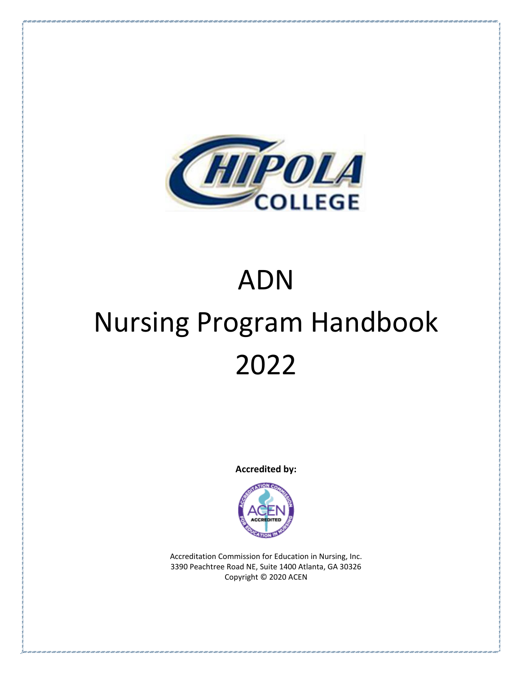

# ADN Nursing Program Handbook 2022

**Accredited by:**



Accreditation Commission for Education in Nursing, Inc. 3390 Peachtree Road NE, Suite 1400 Atlanta, GA 30326 Copyright © 2020 ACEN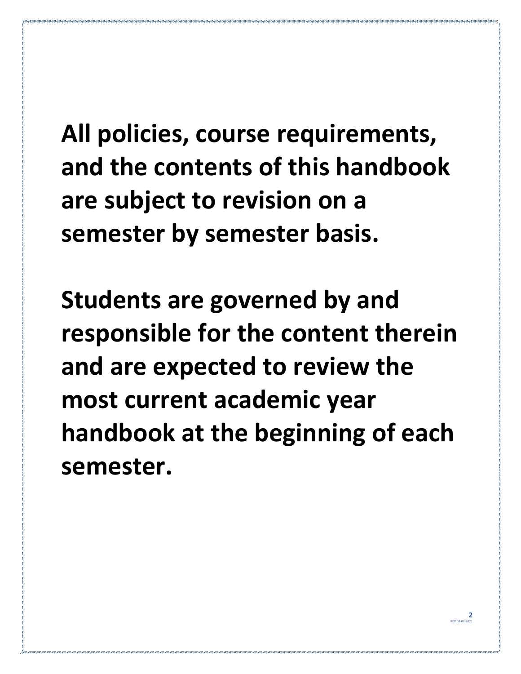**All policies, course requirements, and the contents of this handbook are subject to revision on a semester by semester basis.**

**Students are governed by and responsible for the content therein and are expected to review the most current academic year handbook at the beginning of each semester.**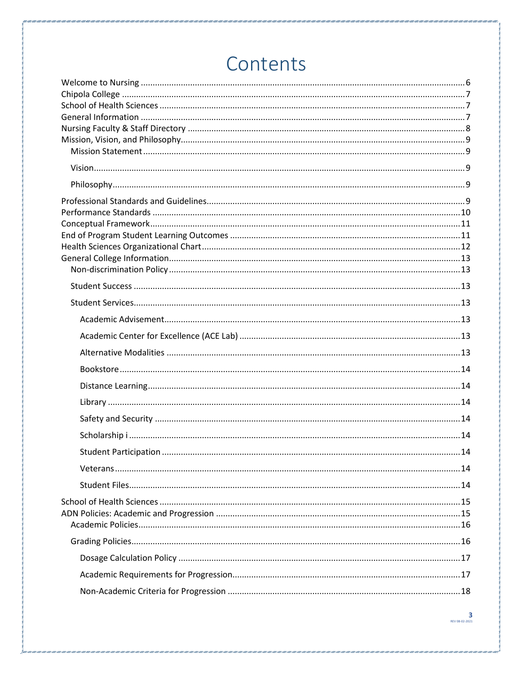# Contents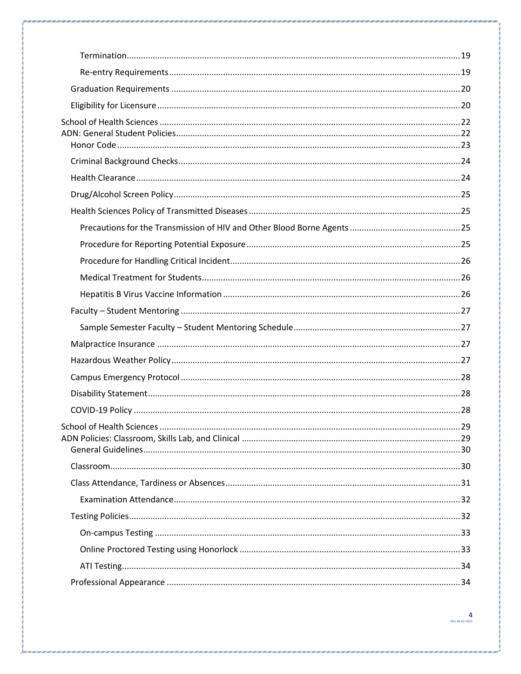| School of Health Sciences | 29 |
|---------------------------|----|
|                           |    |
|                           |    |
|                           |    |
|                           |    |
|                           |    |
|                           |    |
|                           |    |
|                           |    |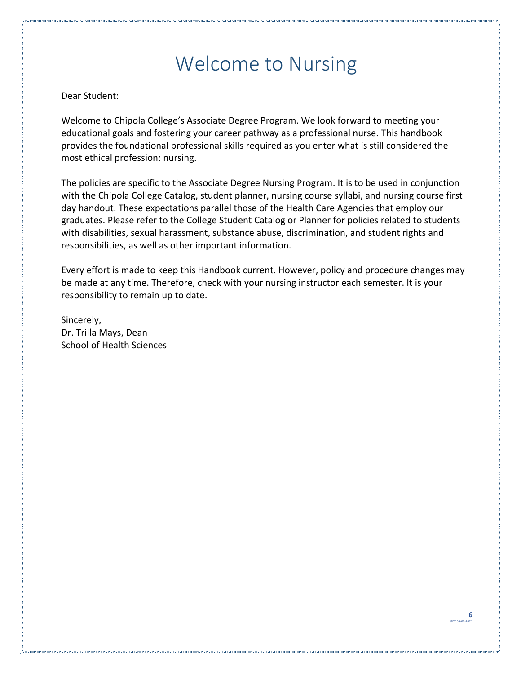### Welcome to Nursing

#### <span id="page-5-0"></span>Dear Student:

Welcome to Chipola College's Associate Degree Program. We look forward to meeting your educational goals and fostering your career pathway as a professional nurse. This handbook provides the foundational professional skills required as you enter what is still considered the most ethical profession: nursing.

The policies are specific to the Associate Degree Nursing Program. It is to be used in conjunction with the Chipola College Catalog, student planner, nursing course syllabi, and nursing course first day handout. These expectations parallel those of the Health Care Agencies that employ our graduates. Please refer to the College Student Catalog or Planner for policies related to students with disabilities, sexual harassment, substance abuse, discrimination, and student rights and responsibilities, as well as other important information.

Every effort is made to keep this Handbook current. However, policy and procedure changes may be made at any time. Therefore, check with your nursing instructor each semester. It is your responsibility to remain up to date.

Sincerely, Dr. Trilla Mays, Dean School of Health Sciences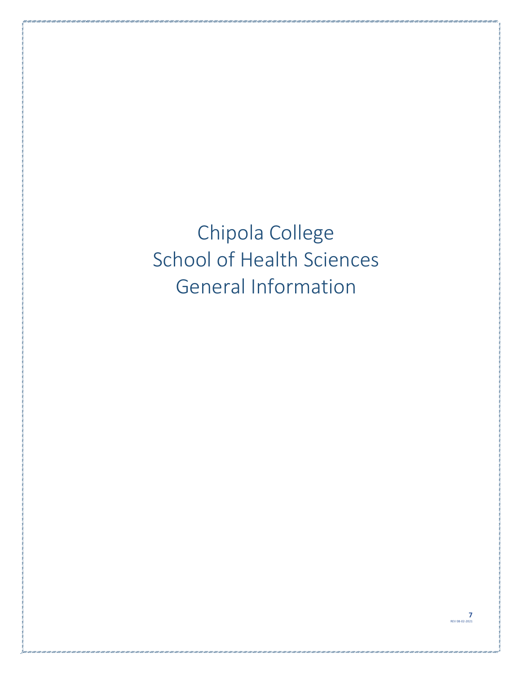<span id="page-6-2"></span><span id="page-6-1"></span><span id="page-6-0"></span>Chipola College School of Health Sciences General Information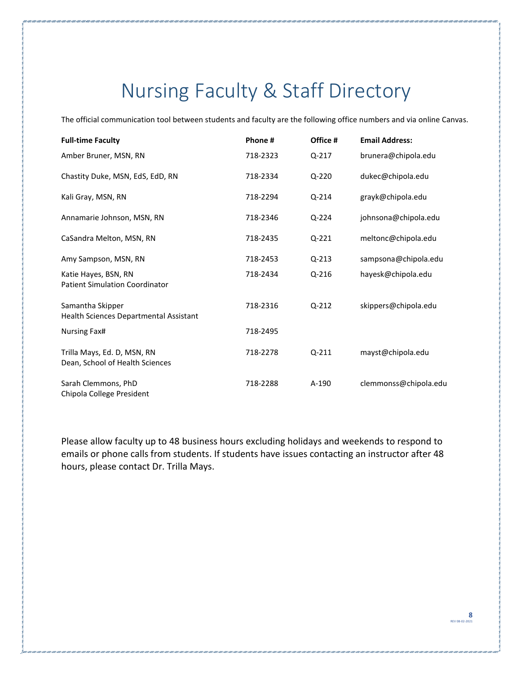# Nursing Faculty & Staff Directory

<span id="page-7-0"></span>The official communication tool between students and faculty are the following office numbers and via online Canvas.

| <b>Full-time Faculty</b>                                       | Phone#   | Office #  | <b>Email Address:</b> |
|----------------------------------------------------------------|----------|-----------|-----------------------|
| Amber Bruner, MSN, RN                                          | 718-2323 | Q-217     | brunera@chipola.edu   |
| Chastity Duke, MSN, EdS, EdD, RN                               | 718-2334 | Q-220     | dukec@chipola.edu     |
| Kali Gray, MSN, RN                                             | 718-2294 | Q-214     | grayk@chipola.edu     |
| Annamarie Johnson, MSN, RN                                     | 718-2346 | Q-224     | johnsona@chipola.edu  |
| CaSandra Melton, MSN, RN                                       | 718-2435 | Q-221     | meltonc@chipola.edu   |
| Amy Sampson, MSN, RN                                           | 718-2453 | $Q - 213$ | sampsona@chipola.edu  |
| Katie Hayes, BSN, RN<br><b>Patient Simulation Coordinator</b>  | 718-2434 | Q-216     | hayesk@chipola.edu    |
| Samantha Skipper<br>Health Sciences Departmental Assistant     | 718-2316 | $Q-212$   | skippers@chipola.edu  |
| Nursing Fax#                                                   | 718-2495 |           |                       |
| Trilla Mays, Ed. D, MSN, RN<br>Dean, School of Health Sciences | 718-2278 | Q-211     | mayst@chipola.edu     |
| Sarah Clemmons, PhD<br>Chipola College President               | 718-2288 | A-190     | clemmonss@chipola.edu |

Please allow faculty up to 48 business hours excluding holidays and weekends to respond to emails or phone calls from students. If students have issues contacting an instructor after 48 hours, please contact Dr. Trilla Mays.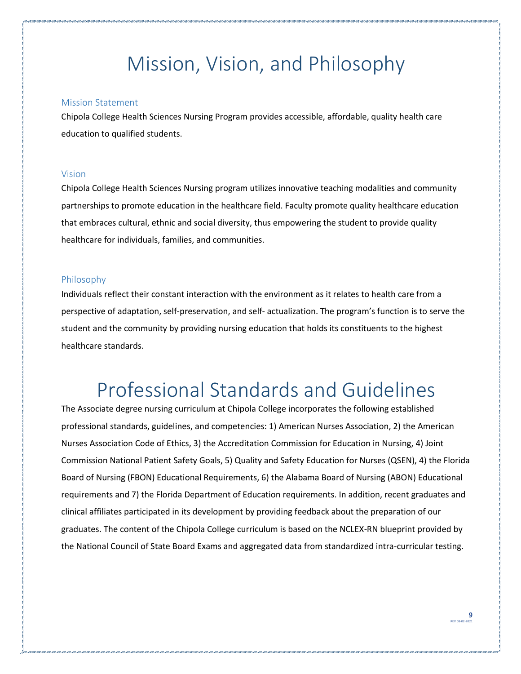### Mission, Vision, and Philosophy

#### <span id="page-8-1"></span><span id="page-8-0"></span>Mission Statement

Chipola College Health Sciences Nursing Program provides accessible, affordable, quality health care education to qualified students.

#### <span id="page-8-2"></span>Vision

Chipola College Health Sciences Nursing program utilizes innovative teaching modalities and community partnerships to promote education in the healthcare field. Faculty promote quality healthcare education that embraces cultural, ethnic and social diversity, thus empowering the student to provide quality healthcare for individuals, families, and communities.

#### <span id="page-8-3"></span>Philosophy

Individuals reflect their constant interaction with the environment as it relates to health care from a perspective of adaptation, self-preservation, and self- actualization. The program's function is to serve the student and the community by providing nursing education that holds its constituents to the highest healthcare standards.

### Professional Standards and Guidelines

<span id="page-8-4"></span>The Associate degree nursing curriculum at Chipola College incorporates the following established professional standards, guidelines, and competencies: 1) American Nurses Association, 2) the American Nurses Association Code of Ethics, 3) the Accreditation Commission for Education in Nursing, 4) Joint Commission National Patient Safety Goals, 5) Quality and Safety Education for Nurses (QSEN), 4) the Florida Board of Nursing (FBON) Educational Requirements, 6) the Alabama Board of Nursing (ABON) Educational requirements and 7) the Florida Department of Education requirements. In addition, recent graduates and clinical affiliates participated in its development by providing feedback about the preparation of our graduates. The content of the Chipola College curriculum is based on the NCLEX-RN blueprint provided by the National Council of State Board Exams and aggregated data from standardized intra-curricular testing.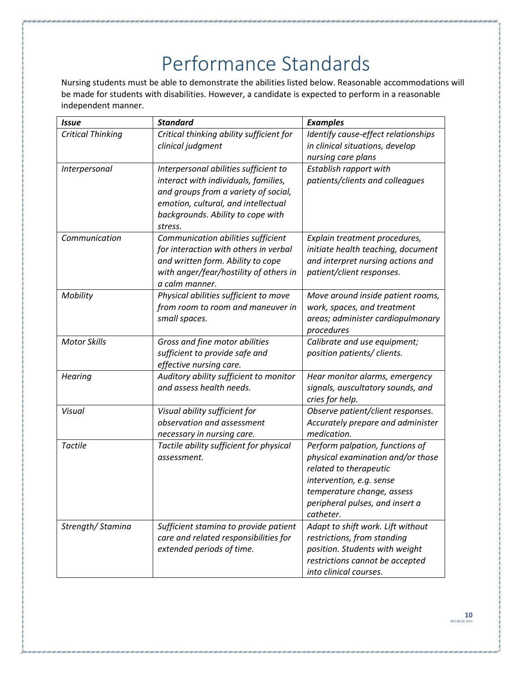# Performance Standards

<span id="page-9-0"></span>Nursing students must be able to demonstrate the abilities listed below. Reasonable accommodations will be made for students with disabilities. However, a candidate is expected to perform in a reasonable independent manner.

| <b>Issue</b>             | <b>Standard</b>                          | <b>Examples</b>                     |
|--------------------------|------------------------------------------|-------------------------------------|
| <b>Critical Thinking</b> | Critical thinking ability sufficient for | Identify cause-effect relationships |
|                          | clinical judgment                        | in clinical situations, develop     |
|                          |                                          | nursing care plans                  |
| Interpersonal            | Interpersonal abilities sufficient to    | Establish rapport with              |
|                          | interact with individuals, families,     | patients/clients and colleagues     |
|                          | and groups from a variety of social,     |                                     |
|                          | emotion, cultural, and intellectual      |                                     |
|                          | backgrounds. Ability to cope with        |                                     |
|                          | stress.                                  |                                     |
| Communication            | Communication abilities sufficient       | Explain treatment procedures,       |
|                          | for interaction with others in verbal    | initiate health teaching, document  |
|                          | and written form. Ability to cope        | and interpret nursing actions and   |
|                          | with anger/fear/hostility of others in   | patient/client responses.           |
|                          | a calm manner.                           |                                     |
| Mobility                 | Physical abilities sufficient to move    | Move around inside patient rooms,   |
|                          | from room to room and maneuver in        | work, spaces, and treatment         |
|                          | small spaces.                            | areas; administer cardiopulmonary   |
|                          |                                          | procedures                          |
| <b>Motor Skills</b>      | Gross and fine motor abilities           | Calibrate and use equipment;        |
|                          | sufficient to provide safe and           | position patients/ clients.         |
|                          | effective nursing care.                  |                                     |
| <b>Hearing</b>           | Auditory ability sufficient to monitor   | Hear monitor alarms, emergency      |
|                          | and assess health needs.                 | signals, auscultatory sounds, and   |
|                          |                                          | cries for help.                     |
| Visual                   | Visual ability sufficient for            | Observe patient/client responses.   |
|                          | observation and assessment               | Accurately prepare and administer   |
|                          | necessary in nursing care.               | medication.                         |
| Tactile                  | Tactile ability sufficient for physical  | Perform palpation, functions of     |
|                          | assessment.                              | physical examination and/or those   |
|                          |                                          | related to therapeutic              |
|                          |                                          | intervention, e.g. sense            |
|                          |                                          | temperature change, assess          |
|                          |                                          | peripheral pulses, and insert a     |
|                          |                                          | catheter.                           |
| Strength/Stamina         | Sufficient stamina to provide patient    | Adapt to shift work. Lift without   |
|                          | care and related responsibilities for    | restrictions, from standing         |
|                          | extended periods of time.                | position. Students with weight      |
|                          |                                          | restrictions cannot be accepted     |
|                          |                                          | into clinical courses.              |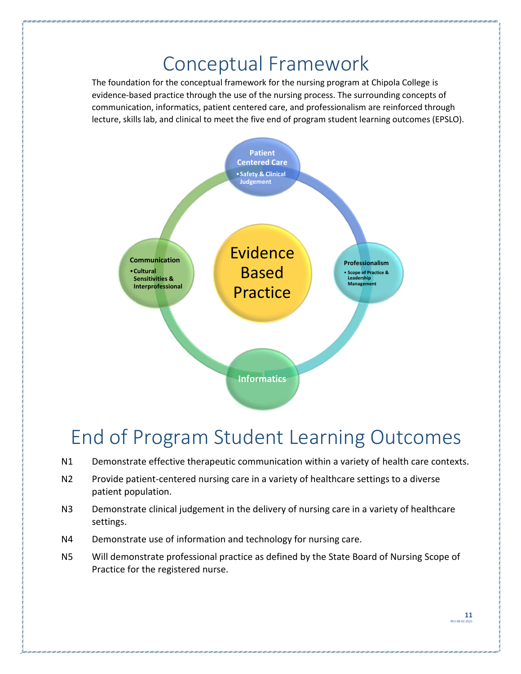### Conceptual Framework

<span id="page-10-0"></span>The foundation for the conceptual framework for the nursing program at Chipola College is evidence-based practice through the use of the nursing process. The surrounding concepts of communication, informatics, patient centered care, and professionalism are reinforced through lecture, skills lab, and clinical to meet the five end of program student learning outcomes (EPSLO).



### <span id="page-10-1"></span>End of Program Student Learning Outcomes

- N1 Demonstrate effective therapeutic communication within a variety of health care contexts.
- N2 Provide patient-centered nursing care in a variety of healthcare settings to a diverse patient population.
- N3 Demonstrate clinical judgement in the delivery of nursing care in a variety of healthcare settings.
- N4 Demonstrate use of information and technology for nursing care.
- N5 Will demonstrate professional practice as defined by the State Board of Nursing Scope of Practice for the registered nurse.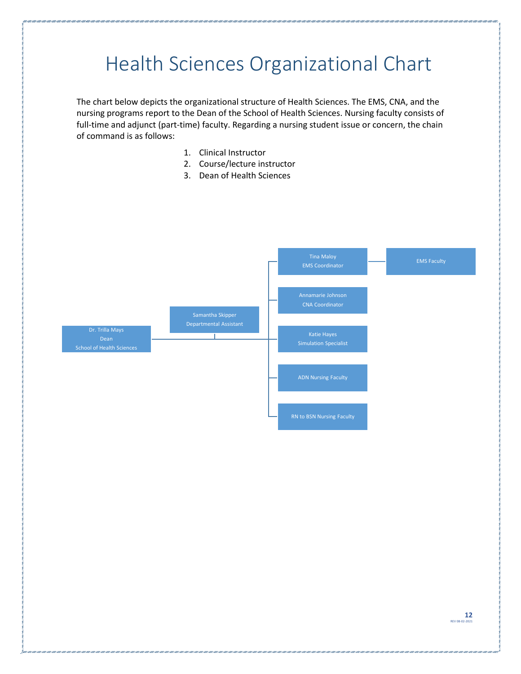# <span id="page-11-0"></span>Health Sciences Organizational Chart

The chart below depicts the organizational structure of Health Sciences. The EMS, CNA, and the nursing programs report to the Dean of the School of Health Sciences. Nursing faculty consists of full-time and adjunct (part-time) faculty. Regarding a nursing student issue or concern, the chain of command is as follows:

- 1. Clinical Instructor
- 2. Course/lecture instructor
- 3. Dean of Health Sciences

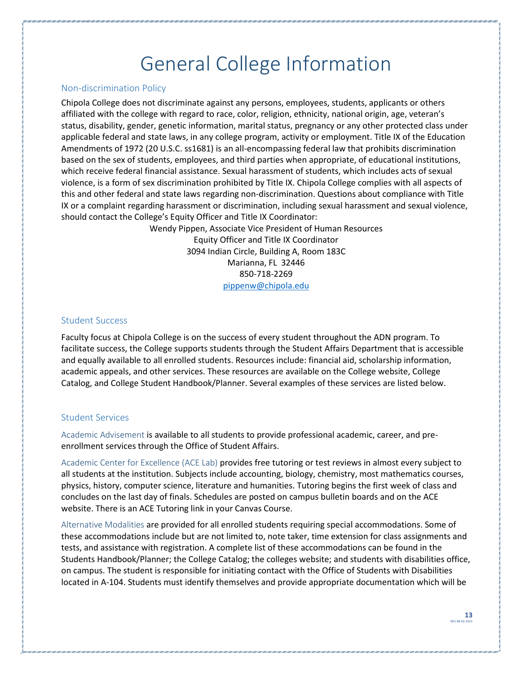### General College Information

#### <span id="page-12-1"></span><span id="page-12-0"></span>Non-discrimination Policy

Chipola College does not discriminate against any persons, employees, students, applicants or others affiliated with the college with regard to race, color, religion, ethnicity, national origin, age, veteran's status, disability, gender, genetic information, marital status, pregnancy or any other protected class under applicable federal and state laws, in any college program, activity or employment. Title IX of the Education Amendments of 1972 (20 U.S.C. ss1681) is an all-encompassing federal law that prohibits discrimination based on the sex of students, employees, and third parties when appropriate, of educational institutions, which receive federal financial assistance. Sexual harassment of students, which includes acts of sexual violence, is a form of sex discrimination prohibited by Title IX. Chipola College complies with all aspects of this and other federal and state laws regarding non-discrimination. Questions about compliance with Title IX or a complaint regarding harassment or discrimination, including sexual harassment and sexual violence, should contact the College's Equity Officer and Title IX Coordinator:

> Wendy Pippen, Associate Vice President of Human Resources Equity Officer and Title IX Coordinator 3094 Indian Circle, Building A, Room 183C Marianna, FL 32446 850-718-2269 [pippenw@chipola.edu](mailto:pippenw@chipola.edu)

#### <span id="page-12-2"></span>Student Success

Faculty focus at Chipola College is on the success of every student throughout the ADN program. To facilitate success, the College supports students through the Student Affairs Department that is accessible and equally available to all enrolled students. Resources include: financial aid, scholarship information, academic appeals, and other services. These resources are available on the College website, College Catalog, and College Student Handbook/Planner. Several examples of these services are listed below.

#### <span id="page-12-3"></span>Student Services

<span id="page-12-4"></span>Academic Advisement is available to all students to provide professional academic, career, and preenrollment services through the Office of Student Affairs.

<span id="page-12-5"></span>Academic Center for Excellence (ACE Lab) provides free tutoring or test reviews in almost every subject to all students at the institution. Subjects include accounting, biology, chemistry, most mathematics courses, physics, history, computer science, literature and humanities. Tutoring begins the first week of class and concludes on the last day of finals. Schedules are posted on campus bulletin boards and on the ACE website. There is an ACE Tutoring link in your Canvas Course.

<span id="page-12-6"></span>Alternative Modalities are provided for all enrolled students requiring special accommodations. Some of these accommodations include but are not limited to, note taker, time extension for class assignments and tests, and assistance with registration. A complete list of these accommodations can be found in the Students Handbook/Planner; the College Catalog; the colleges website; and students with disabilities office, on campus. The student is responsible for initiating contact with the Office of Students with Disabilities located in A-104. Students must identify themselves and provide appropriate documentation which will be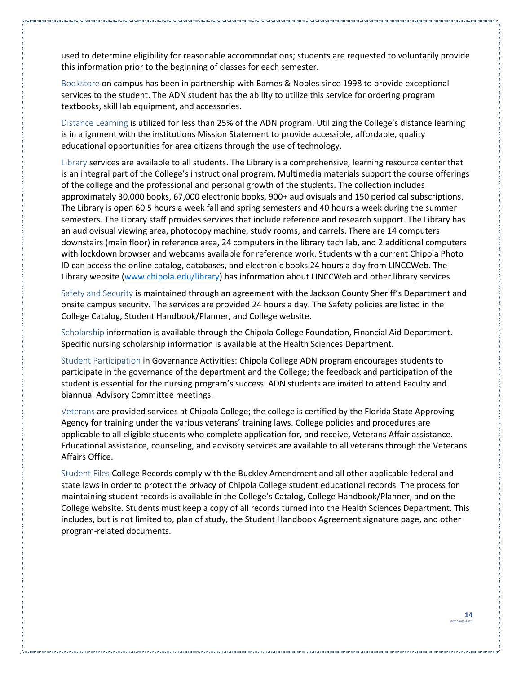used to determine eligibility for reasonable accommodations; students are requested to voluntarily provide this information prior to the beginning of classes for each semester.

<span id="page-13-0"></span>Bookstore on campus has been in partnership with Barnes & Nobles since 1998 to provide exceptional services to the student. The ADN student has the ability to utilize this service for ordering program textbooks, skill lab equipment, and accessories.

<span id="page-13-1"></span>Distance Learning is utilized for less than 25% of the ADN program. Utilizing the College's distance learning is in alignment with the institutions Mission Statement to provide accessible, affordable, quality educational opportunities for area citizens through the use of technology.

<span id="page-13-2"></span>Library services are available to all students. The Library is a comprehensive, learning resource center that is an integral part of the College's instructional program. Multimedia materials support the course offerings of the college and the professional and personal growth of the students. The collection includes approximately 30,000 books, 67,000 electronic books, 900+ audiovisuals and 150 periodical subscriptions. The Library is open 60.5 hours a week fall and spring semesters and 40 hours a week during the summer semesters. The Library staff provides services that include reference and research support. The Library has an audiovisual viewing area, photocopy machine, study rooms, and carrels. There are 14 computers downstairs (main floor) in reference area, 24 computers in the library tech lab, and 2 additional computers with lockdown browser and webcams available for reference work. Students with a current Chipola Photo ID can access the online catalog, databases, and electronic books 24 hours a day from LINCCWeb. The Library website [\(www.chipola.edu/library\)](http://www.chipola.edu/library) has information about LINCCWeb and other library services

<span id="page-13-3"></span>Safety and Security is maintained through an agreement with the Jackson County Sheriff's Department and onsite campus security. The services are provided 24 hours a day. The Safety policies are listed in the College Catalog, Student Handbook/Planner, and College website.

<span id="page-13-4"></span>Scholarship information is available through the Chipola College Foundation, Financial Aid Department. Specific nursing scholarship information is available at the Health Sciences Department.

<span id="page-13-5"></span>Student Participation in Governance Activities: Chipola College ADN program encourages students to participate in the governance of the department and the College; the feedback and participation of the student is essential for the nursing program's success. ADN students are invited to attend Faculty and biannual Advisory Committee meetings.

<span id="page-13-6"></span>Veterans are provided services at Chipola College; the college is certified by the Florida State Approving Agency for training under the various veterans' training laws. College policies and procedures are applicable to all eligible students who complete application for, and receive, Veterans Affair assistance. Educational assistance, counseling, and advisory services are available to all veterans through the Veterans Affairs Office.

<span id="page-13-7"></span>Student Files College Records comply with the Buckley Amendment and all other applicable federal and state laws in order to protect the privacy of Chipola College student educational records. The process for maintaining student records is available in the College's Catalog, College Handbook/Planner, and on the College website. Students must keep a copy of all records turned into the Health Sciences Department. This includes, but is not limited to, plan of study, the Student Handbook Agreement signature page, and other program-related documents.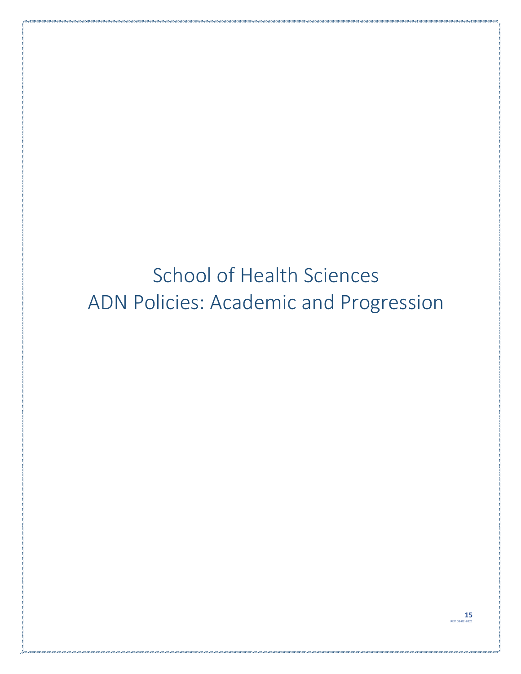# <span id="page-14-1"></span><span id="page-14-0"></span>School of Health Sciences ADN Policies: Academic and Progression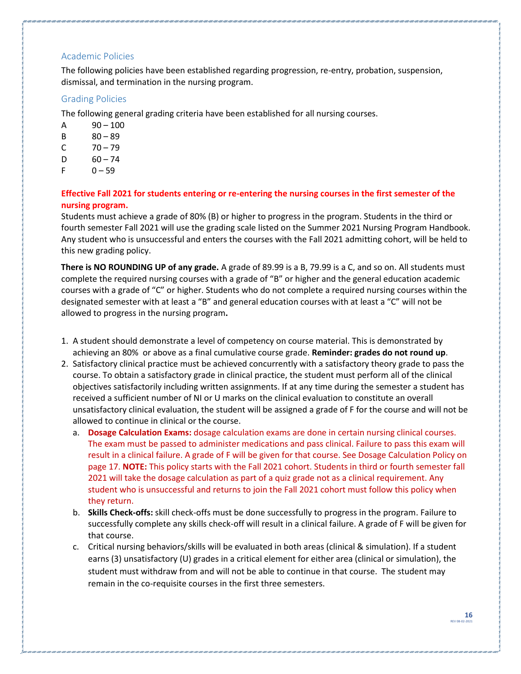#### <span id="page-15-0"></span>Academic Policies

The following policies have been established regarding progression, re-entry, probation, suspension, dismissal, and termination in the nursing program.

#### <span id="page-15-1"></span>Grading Policies

The following general grading criteria have been established for all nursing courses.

- $A = 90 100$
- B 80 89
- $C = 70 79$
- $D = 60 74$
- $F = 0 59$

#### **Effective Fall 2021 for students entering or re-entering the nursing courses in the first semester of the nursing program.**

Students must achieve a grade of 80% (B) or higher to progress in the program. Students in the third or fourth semester Fall 2021 will use the grading scale listed on the Summer 2021 Nursing Program Handbook. Any student who is unsuccessful and enters the courses with the Fall 2021 admitting cohort, will be held to this new grading policy.

**There is NO ROUNDING UP of any grade.** A grade of 89.99 is a B, 79.99 is a C, and so on. All students must complete the required nursing courses with a grade of "B" or higher and the general education academic courses with a grade of "C" or higher. Students who do not complete a required nursing courses within the designated semester with at least a "B" and general education courses with at least a "C" will not be allowed to progress in the nursing program**.**

- 1. A student should demonstrate a level of competency on course material. This is demonstrated by achieving an 80% or above as a final cumulative course grade. **Reminder: grades do not round up**.
- 2. Satisfactory clinical practice must be achieved concurrently with a satisfactory theory grade to pass the course. To obtain a satisfactory grade in clinical practice, the student must perform all of the clinical objectives satisfactorily including written assignments. If at any time during the semester a student has received a sufficient number of NI or U marks on the clinical evaluation to constitute an overall unsatisfactory clinical evaluation, the student will be assigned a grade of F for the course and will not be allowed to continue in clinical or the course.
	- a. **Dosage Calculation Exams:** dosage calculation exams are done in certain nursing clinical courses. The exam must be passed to administer medications and pass clinical. Failure to pass this exam will result in a clinical failure. A grade of F will be given for that course. See Dosage Calculation Policy on page 17. **NOTE:** This policy starts with the Fall 2021 cohort. Students in third or fourth semester fall 2021 will take the dosage calculation as part of a quiz grade not as a clinical requirement. Any student who is unsuccessful and returns to join the Fall 2021 cohort must follow this policy when they return.
	- b. **Skills Check-offs:** skill check-offs must be done successfully to progress in the program. Failure to successfully complete any skills check-off will result in a clinical failure. A grade of F will be given for that course.
	- c. Critical nursing behaviors/skills will be evaluated in both areas (clinical & simulation). If a student earns (3) unsatisfactory (U) grades in a critical element for either area (clinical or simulation), the student must withdraw from and will not be able to continue in that course. The student may remain in the co-requisite courses in the first three semesters.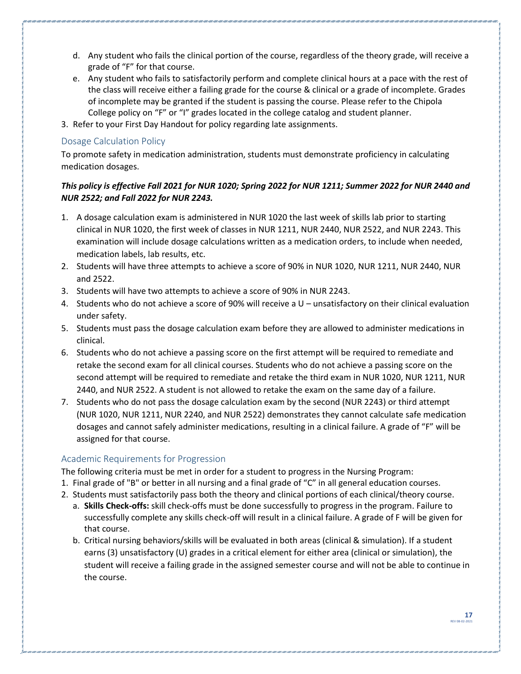- d. Any student who fails the clinical portion of the course, regardless of the theory grade, will receive a grade of "F" for that course.
- e. Any student who fails to satisfactorily perform and complete clinical hours at a pace with the rest of the class will receive either a failing grade for the course & clinical or a grade of incomplete. Grades of incomplete may be granted if the student is passing the course. Please refer to the Chipola College policy on "F" or "I" grades located in the college catalog and student planner.
- 3. Refer to your First Day Handout for policy regarding late assignments.

#### <span id="page-16-0"></span>Dosage Calculation Policy

To promote safety in medication administration, students must demonstrate proficiency in calculating medication dosages.

#### *This policy is effective Fall 2021 for NUR 1020; Spring 2022 for NUR 1211; Summer 2022 for NUR 2440 and NUR 2522; and Fall 2022 for NUR 2243.*

- 1. A dosage calculation exam is administered in NUR 1020 the last week of skills lab prior to starting clinical in NUR 1020, the first week of classes in NUR 1211, NUR 2440, NUR 2522, and NUR 2243. This examination will include dosage calculations written as a medication orders, to include when needed, medication labels, lab results, etc.
- 2. Students will have three attempts to achieve a score of 90% in NUR 1020, NUR 1211, NUR 2440, NUR and 2522.
- 3. Students will have two attempts to achieve a score of 90% in NUR 2243.
- 4. Students who do not achieve a score of 90% will receive a U unsatisfactory on their clinical evaluation under safety.
- 5. Students must pass the dosage calculation exam before they are allowed to administer medications in clinical.
- 6. Students who do not achieve a passing score on the first attempt will be required to remediate and retake the second exam for all clinical courses. Students who do not achieve a passing score on the second attempt will be required to remediate and retake the third exam in NUR 1020, NUR 1211, NUR 2440, and NUR 2522. A student is not allowed to retake the exam on the same day of a failure.
- 7. Students who do not pass the dosage calculation exam by the second (NUR 2243) or third attempt (NUR 1020, NUR 1211, NUR 2240, and NUR 2522) demonstrates they cannot calculate safe medication dosages and cannot safely administer medications, resulting in a clinical failure. A grade of "F" will be assigned for that course.

#### <span id="page-16-1"></span>Academic Requirements for Progression

The following criteria must be met in order for a student to progress in the Nursing Program:

- 1. Final grade of "B" or better in all nursing and a final grade of "C" in all general education courses.
- 2. Students must satisfactorily pass both the theory and clinical portions of each clinical/theory course.
	- a. **Skills Check-offs:** skill check-offs must be done successfully to progress in the program. Failure to successfully complete any skills check-off will result in a clinical failure. A grade of F will be given for that course.
	- b. Critical nursing behaviors/skills will be evaluated in both areas (clinical & simulation). If a student earns (3) unsatisfactory (U) grades in a critical element for either area (clinical or simulation), the student will receive a failing grade in the assigned semester course and will not be able to continue in the course.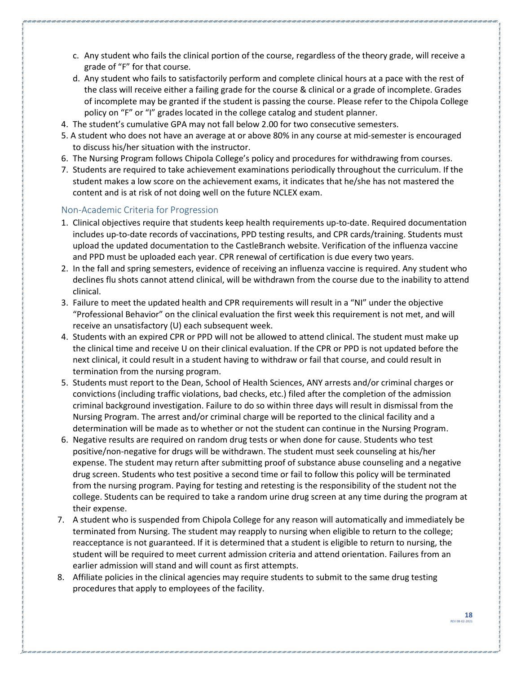- c. Any student who fails the clinical portion of the course, regardless of the theory grade, will receive a grade of "F" for that course.
- d. Any student who fails to satisfactorily perform and complete clinical hours at a pace with the rest of the class will receive either a failing grade for the course & clinical or a grade of incomplete. Grades of incomplete may be granted if the student is passing the course. Please refer to the Chipola College policy on "F" or "I" grades located in the college catalog and student planner.
- 4. The student's cumulative GPA may not fall below 2.00 for two consecutive semesters.
- 5. A student who does not have an average at or above 80% in any course at mid-semester is encouraged to discuss his/her situation with the instructor.
- 6. The Nursing Program follows Chipola College's policy and procedures for withdrawing from courses.
- 7. Students are required to take achievement examinations periodically throughout the curriculum. If the student makes a low score on the achievement exams, it indicates that he/she has not mastered the content and is at risk of not doing well on the future NCLEX exam.

#### <span id="page-17-0"></span>Non-Academic Criteria for Progression

- 1. Clinical objectives require that students keep health requirements up-to-date. Required documentation includes up-to-date records of vaccinations, PPD testing results, and CPR cards/training. Students must upload the updated documentation to the CastleBranch website. Verification of the influenza vaccine and PPD must be uploaded each year. CPR renewal of certification is due every two years.
- 2. In the fall and spring semesters, evidence of receiving an influenza vaccine is required. Any student who declines flu shots cannot attend clinical, will be withdrawn from the course due to the inability to attend clinical.
- 3. Failure to meet the updated health and CPR requirements will result in a "NI" under the objective "Professional Behavior" on the clinical evaluation the first week this requirement is not met, and will receive an unsatisfactory (U) each subsequent week.
- 4. Students with an expired CPR or PPD will not be allowed to attend clinical. The student must make up the clinical time and receive U on their clinical evaluation. If the CPR or PPD is not updated before the next clinical, it could result in a student having to withdraw or fail that course, and could result in termination from the nursing program.
- 5. Students must report to the Dean, School of Health Sciences, ANY arrests and/or criminal charges or convictions (including traffic violations, bad checks, etc.) filed after the completion of the admission criminal background investigation. Failure to do so within three days will result in dismissal from the Nursing Program. The arrest and/or criminal charge will be reported to the clinical facility and a determination will be made as to whether or not the student can continue in the Nursing Program.
- 6. Negative results are required on random drug tests or when done for cause. Students who test positive/non-negative for drugs will be withdrawn. The student must seek counseling at his/her expense. The student may return after submitting proof of substance abuse counseling and a negative drug screen. Students who test positive a second time or fail to follow this policy will be terminated from the nursing program. Paying for testing and retesting is the responsibility of the student not the college. Students can be required to take a random urine drug screen at any time during the program at their expense.
- 7. A student who is suspended from Chipola College for any reason will automatically and immediately be terminated from Nursing. The student may reapply to nursing when eligible to return to the college; reacceptance is not guaranteed. If it is determined that a student is eligible to return to nursing, the student will be required to meet current admission criteria and attend orientation. Failures from an earlier admission will stand and will count as first attempts.
- 8. Affiliate policies in the clinical agencies may require students to submit to the same drug testing procedures that apply to employees of the facility.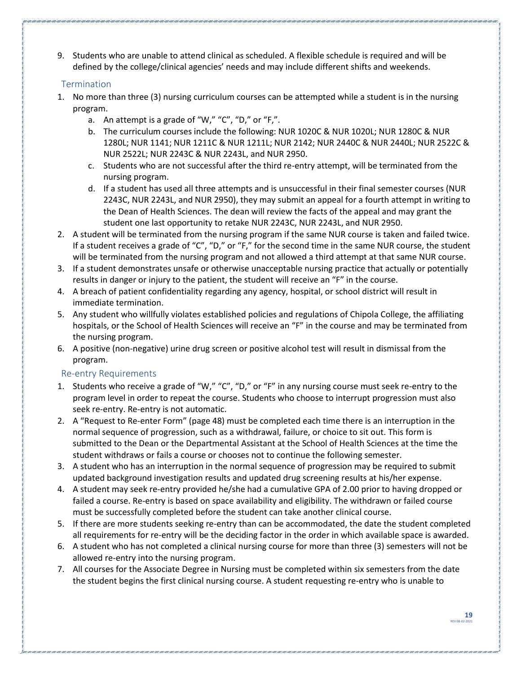9. Students who are unable to attend clinical as scheduled. A flexible schedule is required and will be defined by the college/clinical agencies' needs and may include different shifts and weekends.

#### <span id="page-18-0"></span>Termination

- 1. No more than three (3) nursing curriculum courses can be attempted while a student is in the nursing program.
	- a. An attempt is a grade of "W," "C", "D," or "F,".
	- b. The curriculum courses include the following: NUR 1020C & NUR 1020L; NUR 1280C & NUR 1280L; NUR 1141; NUR 1211C & NUR 1211L; NUR 2142; NUR 2440C & NUR 2440L; NUR 2522C & NUR 2522L; NUR 2243C & NUR 2243L, and NUR 2950.
	- c. Students who are not successful after the third re-entry attempt, will be terminated from the nursing program.
	- d. If a student has used all three attempts and is unsuccessful in their final semester courses (NUR 2243C, NUR 2243L, and NUR 2950), they may submit an appeal for a fourth attempt in writing to the Dean of Health Sciences. The dean will review the facts of the appeal and may grant the student one last opportunity to retake NUR 2243C, NUR 2243L, and NUR 2950.
- 2. A student will be terminated from the nursing program if the same NUR course is taken and failed twice. If a student receives a grade of "C", "D," or "F," for the second time in the same NUR course, the student will be terminated from the nursing program and not allowed a third attempt at that same NUR course.
- 3. If a student demonstrates unsafe or otherwise unacceptable nursing practice that actually or potentially results in danger or injury to the patient, the student will receive an "F" in the course.
- 4. A breach of patient confidentiality regarding any agency, hospital, or school district will result in immediate termination.
- 5. Any student who willfully violates established policies and regulations of Chipola College, the affiliating hospitals, or the School of Health Sciences will receive an "F" in the course and may be terminated from the nursing program.
- 6. A positive (non-negative) urine drug screen or positive alcohol test will result in dismissal from the program.

#### <span id="page-18-1"></span>Re-entry Requirements

- 1. Students who receive a grade of "W," "C", "D," or "F" in any nursing course must seek re-entry to the program level in order to repeat the course. Students who choose to interrupt progression must also seek re-entry. Re-entry is not automatic.
- 2. A "Request to Re-enter Form" (page 48) must be completed each time there is an interruption in the normal sequence of progression, such as a withdrawal, failure, or choice to sit out. This form is submitted to the Dean or the Departmental Assistant at the School of Health Sciences at the time the student withdraws or fails a course or chooses not to continue the following semester.
- 3. A student who has an interruption in the normal sequence of progression may be required to submit updated background investigation results and updated drug screening results at his/her expense.
- 4. A student may seek re-entry provided he/she had a cumulative GPA of 2.00 prior to having dropped or failed a course. Re-entry is based on space availability and eligibility. The withdrawn or failed course must be successfully completed before the student can take another clinical course.
- 5. If there are more students seeking re-entry than can be accommodated, the date the student completed all requirements for re-entry will be the deciding factor in the order in which available space is awarded.
- 6. A student who has not completed a clinical nursing course for more than three (3) semesters will not be allowed re-entry into the nursing program.
- 7. All courses for the Associate Degree in Nursing must be completed within six semesters from the date the student begins the first clinical nursing course. A student requesting re-entry who is unable to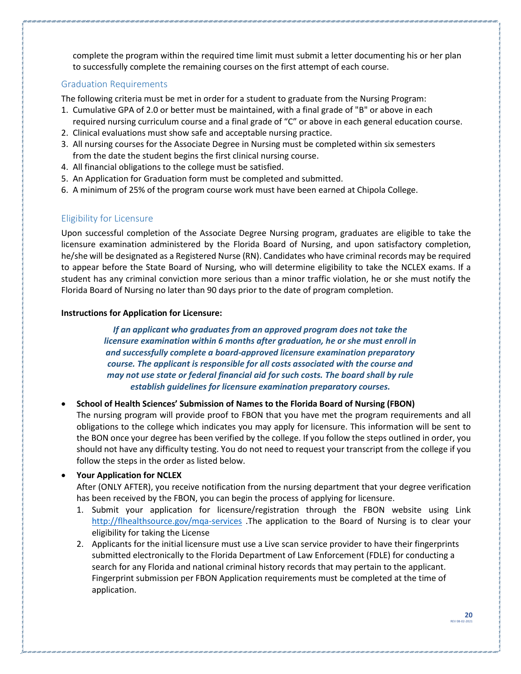complete the program within the required time limit must submit a letter documenting his or her plan to successfully complete the remaining courses on the first attempt of each course.

#### <span id="page-19-0"></span>Graduation Requirements

The following criteria must be met in order for a student to graduate from the Nursing Program:

- 1. Cumulative GPA of 2.0 or better must be maintained, with a final grade of "B" or above in each required nursing curriculum course and a final grade of "C" or above in each general education course.
- 2. Clinical evaluations must show safe and acceptable nursing practice.
- 3. All nursing courses for the Associate Degree in Nursing must be completed within six semesters from the date the student begins the first clinical nursing course.
- 4. All financial obligations to the college must be satisfied.
- 5. An Application for Graduation form must be completed and submitted.
- 6. A minimum of 25% of the program course work must have been earned at Chipola College.

#### <span id="page-19-1"></span>Eligibility for Licensure

Upon successful completion of the Associate Degree Nursing program, graduates are eligible to take the licensure examination administered by the Florida Board of Nursing, and upon satisfactory completion, he/she will be designated as a Registered Nurse (RN). Candidates who have criminal records may be required to appear before the State Board of Nursing, who will determine eligibility to take the NCLEX exams. If a student has any criminal conviction more serious than a minor traffic violation, he or she must notify the Florida Board of Nursing no later than 90 days prior to the date of program completion.

#### **Instructions for Application for Licensure:**

*If an applicant who graduates from an approved program does not take the licensure examination within 6 months after graduation, he or she must enroll in and successfully complete a board-approved licensure examination preparatory course. The applicant is responsible for all costs associated with the course and may not use state or federal financial aid for such costs. The board shall by rule establish guidelines for licensure examination preparatory courses.*

#### • **School of Health Sciences' Submission of Names to the Florida Board of Nursing (FBON)**

The nursing program will provide proof to FBON that you have met the program requirements and all obligations to the college which indicates you may apply for licensure. This information will be sent to the BON once your degree has been verified by the college. If you follow the steps outlined in order, you should not have any difficulty testing. You do not need to request your transcript from the college if you follow the steps in the order as listed below.

#### • **Your Application for NCLEX**

After (ONLY AFTER), you receive notification from the nursing department that your degree verification has been received by the FBON, you can begin the process of applying for licensure.

- 1. Submit your application for licensure/registration through the FBON website using Link <http://flhealthsource.gov/mqa-services> .The application to the Board of Nursing is to clear your eligibility for taking the License
- 2. Applicants for the initial licensure must use a Live scan service provider to have their fingerprints submitted electronically to the Florida Department of Law Enforcement (FDLE) for conducting a search for any Florida and national criminal history records that may pertain to the applicant. Fingerprint submission per FBON Application requirements must be completed at the time of application.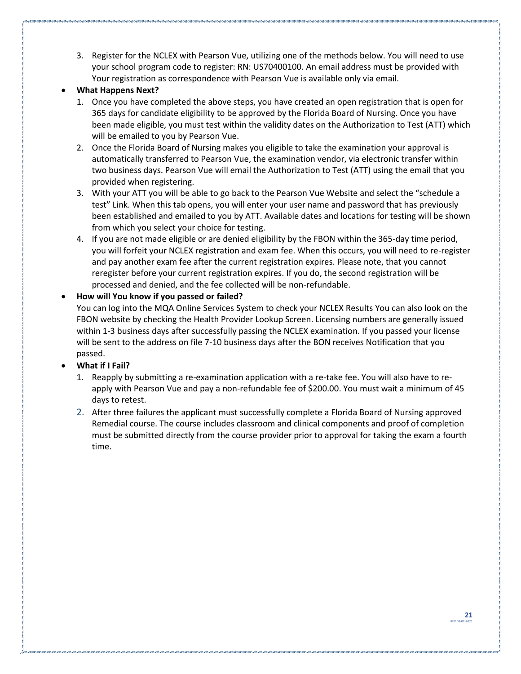3. Register for the NCLEX with Pearson Vue, utilizing one of the methods below. You will need to use your school program code to register: RN: US70400100. An email address must be provided with Your registration as correspondence with Pearson Vue is available only via email.

#### • **What Happens Next?**

- 1. Once you have completed the above steps, you have created an open registration that is open for 365 days for candidate eligibility to be approved by the Florida Board of Nursing. Once you have been made eligible, you must test within the validity dates on the Authorization to Test (ATT) which will be emailed to you by Pearson Vue.
- 2. Once the Florida Board of Nursing makes you eligible to take the examination your approval is automatically transferred to Pearson Vue, the examination vendor, via electronic transfer within two business days. Pearson Vue will email the Authorization to Test (ATT) using the email that you provided when registering.
- 3. With your ATT you will be able to go back to the Pearson Vue Website and select the "schedule a test" Link. When this tab opens, you will enter your user name and password that has previously been established and emailed to you by ATT. Available dates and locations for testing will be shown from which you select your choice for testing.
- 4. If you are not made eligible or are denied eligibility by the FBON within the 365-day time period, you will forfeit your NCLEX registration and exam fee. When this occurs, you will need to re-register and pay another exam fee after the current registration expires. Please note, that you cannot reregister before your current registration expires. If you do, the second registration will be processed and denied, and the fee collected will be non-refundable.

#### • **How will You know if you passed or failed?**

You can log into the MQA Online Services System to check your NCLEX Results You can also look on the FBON website by checking the Health Provider Lookup Screen. Licensing numbers are generally issued within 1-3 business days after successfully passing the NCLEX examination. If you passed your license will be sent to the address on file 7-10 business days after the BON receives Notification that you passed.

#### • **What if I Fail?**

- 1. Reapply by submitting a re-examination application with a re-take fee. You will also have to reapply with Pearson Vue and pay a non-refundable fee of \$200.00. You must wait a minimum of 45 days to retest.
- 2. After three failures the applicant must successfully complete a Florida Board of Nursing approved Remedial course. The course includes classroom and clinical components and proof of completion must be submitted directly from the course provider prior to approval for taking the exam a fourth time.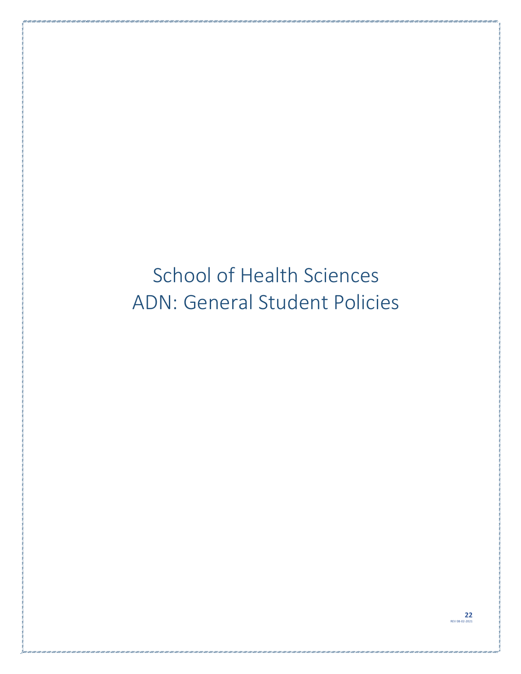# <span id="page-21-1"></span><span id="page-21-0"></span>School of Health Sciences ADN: General Student Policies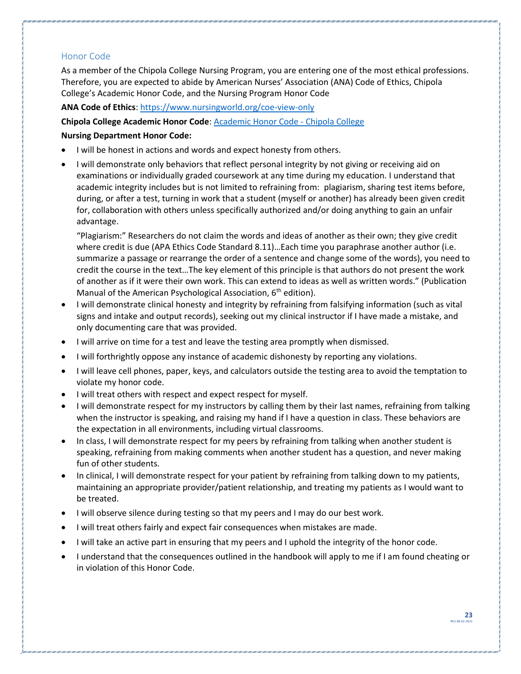#### <span id="page-22-0"></span>Honor Code

As a member of the Chipola College Nursing Program, you are entering one of the most ethical professions. Therefore, you are expected to abide by American Nurses' Association (ANA) Code of Ethics, Chipola College's Academic Honor Code, and the Nursing Program Honor Code

**ANA Code of Ethics**:<https://www.nursingworld.org/coe-view-only>

#### **Chipola College Academic Honor Code**: [Academic Honor Code -](https://www.chipola.edu/student-life/student-services/academic-catalog/student-governance/academic-honor-code/) Chipola College

#### **Nursing Department Honor Code:**

- I will be honest in actions and words and expect honesty from others.
- I will demonstrate only behaviors that reflect personal integrity by not giving or receiving aid on examinations or individually graded coursework at any time during my education. I understand that academic integrity includes but is not limited to refraining from: plagiarism, sharing test items before, during, or after a test, turning in work that a student (myself or another) has already been given credit for, collaboration with others unless specifically authorized and/or doing anything to gain an unfair advantage.

"Plagiarism:" Researchers do not claim the words and ideas of another as their own; they give credit where credit is due (APA Ethics Code Standard 8.11)…Each time you paraphrase another author (i.e. summarize a passage or rearrange the order of a sentence and change some of the words), you need to credit the course in the text…The key element of this principle is that authors do not present the work of another as if it were their own work. This can extend to ideas as well as written words." (Publication Manual of the American Psychological Association,  $6<sup>th</sup>$  edition).

- I will demonstrate clinical honesty and integrity by refraining from falsifying information (such as vital signs and intake and output records), seeking out my clinical instructor if I have made a mistake, and only documenting care that was provided.
- I will arrive on time for a test and leave the testing area promptly when dismissed.
- I will forthrightly oppose any instance of academic dishonesty by reporting any violations.
- I will leave cell phones, paper, keys, and calculators outside the testing area to avoid the temptation to violate my honor code.
- I will treat others with respect and expect respect for myself.
- I will demonstrate respect for my instructors by calling them by their last names, refraining from talking when the instructor is speaking, and raising my hand if I have a question in class. These behaviors are the expectation in all environments, including virtual classrooms.
- In class, I will demonstrate respect for my peers by refraining from talking when another student is speaking, refraining from making comments when another student has a question, and never making fun of other students.
- In clinical, I will demonstrate respect for your patient by refraining from talking down to my patients, maintaining an appropriate provider/patient relationship, and treating my patients as I would want to be treated.
- I will observe silence during testing so that my peers and I may do our best work.
- I will treat others fairly and expect fair consequences when mistakes are made.
- I will take an active part in ensuring that my peers and I uphold the integrity of the honor code.
- I understand that the consequences outlined in the handbook will apply to me if I am found cheating or in violation of this Honor Code.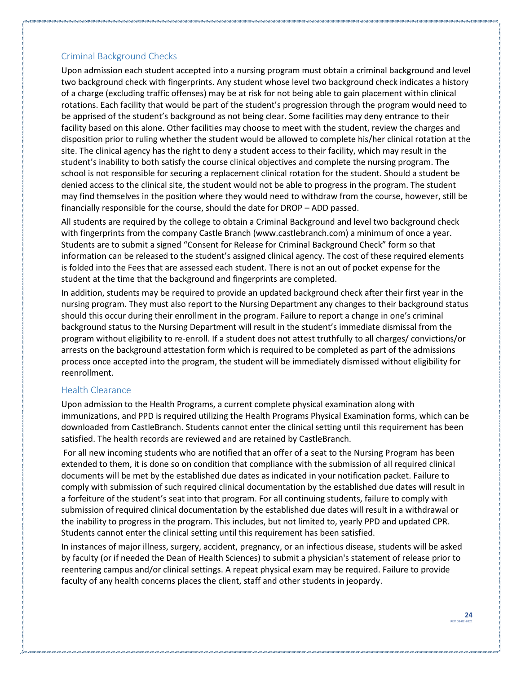#### <span id="page-23-0"></span>Criminal Background Checks

Upon admission each student accepted into a nursing program must obtain a criminal background and level two background check with fingerprints. Any student whose level two background check indicates a history of a charge (excluding traffic offenses) may be at risk for not being able to gain placement within clinical rotations. Each facility that would be part of the student's progression through the program would need to be apprised of the student's background as not being clear. Some facilities may deny entrance to their facility based on this alone. Other facilities may choose to meet with the student, review the charges and disposition prior to ruling whether the student would be allowed to complete his/her clinical rotation at the site. The clinical agency has the right to deny a student access to their facility, which may result in the student's inability to both satisfy the course clinical objectives and complete the nursing program. The school is not responsible for securing a replacement clinical rotation for the student. Should a student be denied access to the clinical site, the student would not be able to progress in the program. The student may find themselves in the position where they would need to withdraw from the course, however, still be financially responsible for the course, should the date for DROP – ADD passed.

All students are required by the college to obtain a Criminal Background and level two background check with fingerprints from the company Castle Branch (www.castlebranch.com) a minimum of once a year. Students are to submit a signed "Consent for Release for Criminal Background Check" form so that information can be released to the student's assigned clinical agency. The cost of these required elements is folded into the Fees that are assessed each student. There is not an out of pocket expense for the student at the time that the background and fingerprints are completed.

In addition, students may be required to provide an updated background check after their first year in the nursing program. They must also report to the Nursing Department any changes to their background status should this occur during their enrollment in the program. Failure to report a change in one's criminal background status to the Nursing Department will result in the student's immediate dismissal from the program without eligibility to re-enroll. If a student does not attest truthfully to all charges/ convictions/or arrests on the background attestation form which is required to be completed as part of the admissions process once accepted into the program, the student will be immediately dismissed without eligibility for reenrollment.

#### <span id="page-23-1"></span>Health Clearance

Upon admission to the Health Programs, a current complete physical examination along with immunizations, and PPD is required utilizing the Health Programs Physical Examination forms, which can be downloaded from CastleBranch. Students cannot enter the clinical setting until this requirement has been satisfied. The health records are reviewed and are retained by CastleBranch.

For all new incoming students who are notified that an offer of a seat to the Nursing Program has been extended to them, it is done so on condition that compliance with the submission of all required clinical documents will be met by the established due dates as indicated in your notification packet. Failure to comply with submission of such required clinical documentation by the established due dates will result in a forfeiture of the student's seat into that program. For all continuing students, failure to comply with submission of required clinical documentation by the established due dates will result in a withdrawal or the inability to progress in the program. This includes, but not limited to, yearly PPD and updated CPR. Students cannot enter the clinical setting until this requirement has been satisfied.

In instances of major illness, surgery, accident, pregnancy, or an infectious disease, students will be asked by faculty (or if needed the Dean of Health Sciences) to submit a physician's statement of release prior to reentering campus and/or clinical settings. A repeat physical exam may be required. Failure to provide faculty of any health concerns places the client, staff and other students in jeopardy.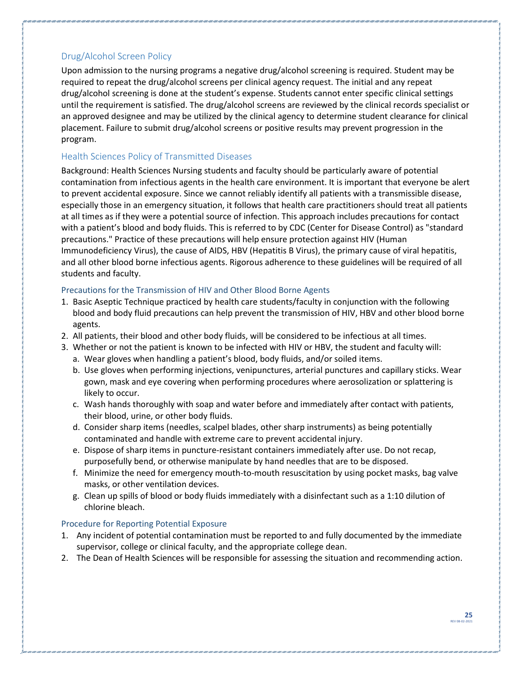#### <span id="page-24-0"></span>Drug/Alcohol Screen Policy

Upon admission to the nursing programs a negative drug/alcohol screening is required. Student may be required to repeat the drug/alcohol screens per clinical agency request. The initial and any repeat drug/alcohol screening is done at the student's expense. Students cannot enter specific clinical settings until the requirement is satisfied. The drug/alcohol screens are reviewed by the clinical records specialist or an approved designee and may be utilized by the clinical agency to determine student clearance for clinical placement. Failure to submit drug/alcohol screens or positive results may prevent progression in the program.

#### <span id="page-24-1"></span>Health Sciences Policy of Transmitted Diseases

Background: Health Sciences Nursing students and faculty should be particularly aware of potential contamination from infectious agents in the health care environment. It is important that everyone be alert to prevent accidental exposure. Since we cannot reliably identify all patients with a transmissible disease, especially those in an emergency situation, it follows that health care practitioners should treat all patients at all times as if they were a potential source of infection. This approach includes precautions for contact with a patient's blood and body fluids. This is referred to by CDC (Center for Disease Control) as "standard precautions." Practice of these precautions will help ensure protection against HIV (Human Immunodeficiency Virus), the cause of AIDS, HBV (Hepatitis B Virus), the primary cause of viral hepatitis, and all other blood borne infectious agents. Rigorous adherence to these guidelines will be required of all students and faculty.

#### <span id="page-24-2"></span>Precautions for the Transmission of HIV and Other Blood Borne Agents

- 1. Basic Aseptic Technique practiced by health care students/faculty in conjunction with the following blood and body fluid precautions can help prevent the transmission of HIV, HBV and other blood borne agents.
- 2. All patients, their blood and other body fluids, will be considered to be infectious at all times.
- 3. Whether or not the patient is known to be infected with HIV or HBV, the student and faculty will:
	- a. Wear gloves when handling a patient's blood, body fluids, and/or soiled items.
	- b. Use gloves when performing injections, venipunctures, arterial punctures and capillary sticks. Wear gown, mask and eye covering when performing procedures where aerosolization or splattering is likely to occur.
	- c. Wash hands thoroughly with soap and water before and immediately after contact with patients, their blood, urine, or other body fluids.
	- d. Consider sharp items (needles, scalpel blades, other sharp instruments) as being potentially contaminated and handle with extreme care to prevent accidental injury.
	- e. Dispose of sharp items in puncture-resistant containers immediately after use. Do not recap, purposefully bend, or otherwise manipulate by hand needles that are to be disposed.
	- f. Minimize the need for emergency mouth-to-mouth resuscitation by using pocket masks, bag valve masks, or other ventilation devices.
	- g. Clean up spills of blood or body fluids immediately with a disinfectant such as a 1:10 dilution of chlorine bleach.

#### <span id="page-24-3"></span>Procedure for Reporting Potential Exposure

- 1. Any incident of potential contamination must be reported to and fully documented by the immediate supervisor, college or clinical faculty, and the appropriate college dean.
- 2. The Dean of Health Sciences will be responsible for assessing the situation and recommending action.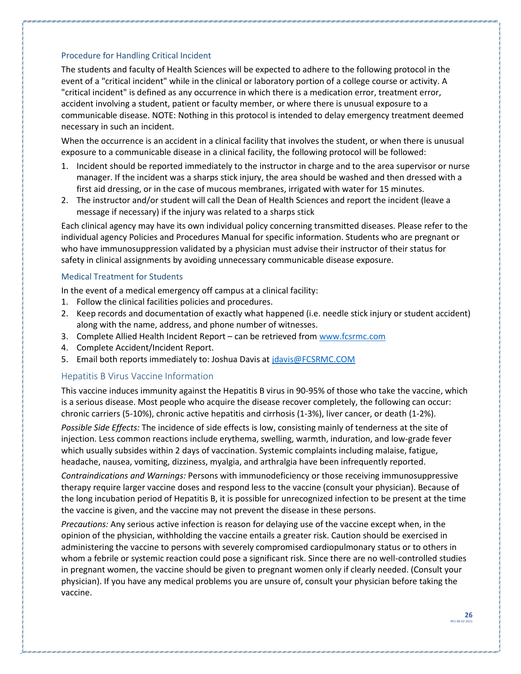#### <span id="page-25-0"></span>Procedure for Handling Critical Incident

The students and faculty of Health Sciences will be expected to adhere to the following protocol in the event of a "critical incident" while in the clinical or laboratory portion of a college course or activity. A "critical incident" is defined as any occurrence in which there is a medication error, treatment error, accident involving a student, patient or faculty member, or where there is unusual exposure to a communicable disease. NOTE: Nothing in this protocol is intended to delay emergency treatment deemed necessary in such an incident.

When the occurrence is an accident in a clinical facility that involves the student, or when there is unusual exposure to a communicable disease in a clinical facility, the following protocol will be followed:

- 1. Incident should be reported immediately to the instructor in charge and to the area supervisor or nurse manager. If the incident was a sharps stick injury, the area should be washed and then dressed with a first aid dressing, or in the case of mucous membranes, irrigated with water for 15 minutes.
- 2. The instructor and/or student will call the Dean of Health Sciences and report the incident (leave a message if necessary) if the injury was related to a sharps stick

Each clinical agency may have its own individual policy concerning transmitted diseases. Please refer to the individual agency Policies and Procedures Manual for specific information. Students who are pregnant or who have immunosuppression validated by a physician must advise their instructor of their status for safety in clinical assignments by avoiding unnecessary communicable disease exposure.

#### <span id="page-25-1"></span>Medical Treatment for Students

In the event of a medical emergency off campus at a clinical facility:

- 1. Follow the clinical facilities policies and procedures.
- 2. Keep records and documentation of exactly what happened (i.e. needle stick injury or student accident) along with the name, address, and phone number of witnesses.
- 3. Complete Allied Health Incident Report can be retrieved from [www.fcsrmc.com](about:blank)
- 4. Complete Accident/Incident Report.
- 5. Email both reports immediately to: Joshua Davis a[t jdavis@FCSRMC.COM](about:blank)

#### <span id="page-25-2"></span>Hepatitis B Virus Vaccine Information

This vaccine induces immunity against the Hepatitis B virus in 90-95% of those who take the vaccine, which is a serious disease. Most people who acquire the disease recover completely, the following can occur: chronic carriers (5-10%), chronic active hepatitis and cirrhosis (1-3%), liver cancer, or death (1-2%).

*Possible Side Effects:* The incidence of side effects is low, consisting mainly of tenderness at the site of injection. Less common reactions include erythema, swelling, warmth, induration, and low-grade fever which usually subsides within 2 days of vaccination. Systemic complaints including malaise, fatigue, headache, nausea, vomiting, dizziness, myalgia, and arthralgia have been infrequently reported.

*Contraindications and Warnings:* Persons with immunodeficiency or those receiving immunosuppressive therapy require larger vaccine doses and respond less to the vaccine (consult your physician). Because of the long incubation period of Hepatitis B, it is possible for unrecognized infection to be present at the time the vaccine is given, and the vaccine may not prevent the disease in these persons.

*Precautions:* Any serious active infection is reason for delaying use of the vaccine except when, in the opinion of the physician, withholding the vaccine entails a greater risk. Caution should be exercised in administering the vaccine to persons with severely compromised cardiopulmonary status or to others in whom a febrile or systemic reaction could pose a significant risk. Since there are no well-controlled studies in pregnant women, the vaccine should be given to pregnant women only if clearly needed. (Consult your physician). If you have any medical problems you are unsure of, consult your physician before taking the vaccine.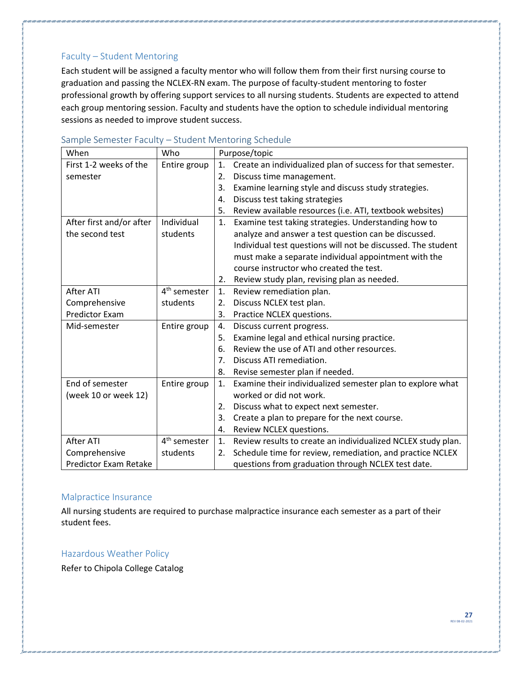#### <span id="page-26-0"></span>Faculty – Student Mentoring

Each student will be assigned a faculty mentor who will follow them from their first nursing course to graduation and passing the NCLEX-RN exam. The purpose of faculty-student mentoring to foster professional growth by offering support services to all nursing students. Students are expected to attend each group mentoring session. Faculty and students have the option to schedule individual mentoring sessions as needed to improve student success.

| When                     | Who                      |                | Purpose/topic                                                |
|--------------------------|--------------------------|----------------|--------------------------------------------------------------|
| First 1-2 weeks of the   | Entire group             | 1.             | Create an individualized plan of success for that semester.  |
| semester                 |                          | 2.             | Discuss time management.                                     |
|                          |                          | 3.             | Examine learning style and discuss study strategies.         |
|                          |                          | 4.             | Discuss test taking strategies                               |
|                          |                          | 5.             | Review available resources (i.e. ATI, textbook websites)     |
| After first and/or after | Individual               | 1.             | Examine test taking strategies. Understanding how to         |
| the second test          | students                 |                | analyze and answer a test question can be discussed.         |
|                          |                          |                | Individual test questions will not be discussed. The student |
|                          |                          |                | must make a separate individual appointment with the         |
|                          |                          |                | course instructor who created the test.                      |
|                          |                          | 2.             | Review study plan, revising plan as needed.                  |
| After ATI                | 4 <sup>th</sup> semester | 1.             | Review remediation plan.                                     |
| Comprehensive            | students                 | 2.             | Discuss NCLEX test plan.                                     |
| <b>Predictor Exam</b>    |                          | 3.             | Practice NCLEX questions.                                    |
| Mid-semester             | Entire group             | 4.             | Discuss current progress.                                    |
|                          |                          | 5.             | Examine legal and ethical nursing practice.                  |
|                          |                          | 6.             | Review the use of ATI and other resources.                   |
|                          |                          | 7 <sub>1</sub> | Discuss ATI remediation.                                     |
|                          |                          | 8.             | Revise semester plan if needed.                              |
| End of semester          | Entire group             | 1.             | Examine their individualized semester plan to explore what   |
| (week 10 or week 12)     |                          |                | worked or did not work.                                      |
|                          |                          | 2.             | Discuss what to expect next semester.                        |
|                          |                          | 3.             | Create a plan to prepare for the next course.                |
|                          |                          | 4.             | Review NCLEX questions.                                      |
| After ATI                | 4 <sup>th</sup> semester | $\mathbf{1}$ . | Review results to create an individualized NCLEX study plan. |
| Comprehensive            | students                 | 2.             | Schedule time for review, remediation, and practice NCLEX    |
| Predictor Exam Retake    |                          |                | questions from graduation through NCLEX test date.           |

#### <span id="page-26-1"></span>Sample Semester Faculty – Student Mentoring Schedule

#### <span id="page-26-2"></span>Malpractice Insurance

All nursing students are required to purchase malpractice insurance each semester as a part of their student fees.

#### <span id="page-26-3"></span>Hazardous Weather Policy

Refer to Chipola College Catalog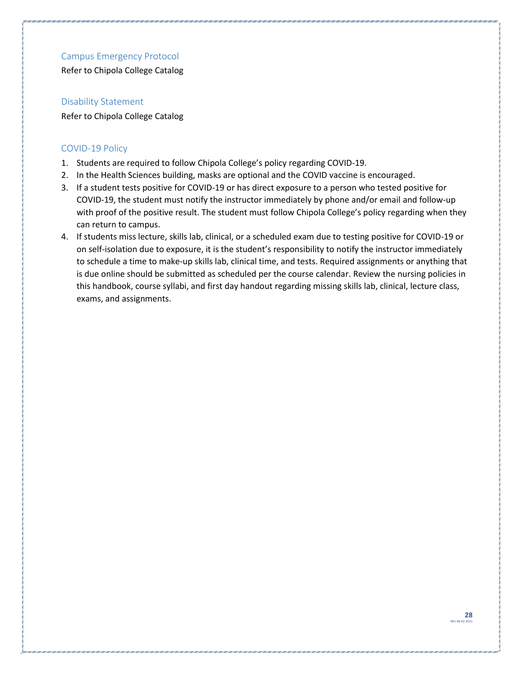#### <span id="page-27-0"></span>Campus Emergency Protocol

Refer to Chipola College Catalog

#### <span id="page-27-1"></span>Disability Statement

Refer to Chipola College Catalog

#### <span id="page-27-2"></span>COVID-19 Policy

- 1. Students are required to follow Chipola College's policy regarding COVID-19.
- 2. In the Health Sciences building, masks are optional and the COVID vaccine is encouraged.
- 3. If a student tests positive for COVID-19 or has direct exposure to a person who tested positive for COVID-19, the student must notify the instructor immediately by phone and/or email and follow-up with proof of the positive result. The student must follow Chipola College's policy regarding when they can return to campus.
- 4. If students miss lecture, skills lab, clinical, or a scheduled exam due to testing positive for COVID-19 or on self-isolation due to exposure, it is the student's responsibility to notify the instructor immediately to schedule a time to make-up skills lab, clinical time, and tests. Required assignments or anything that is due online should be submitted as scheduled per the course calendar. Review the nursing policies in this handbook, course syllabi, and first day handout regarding missing skills lab, clinical, lecture class, exams, and assignments.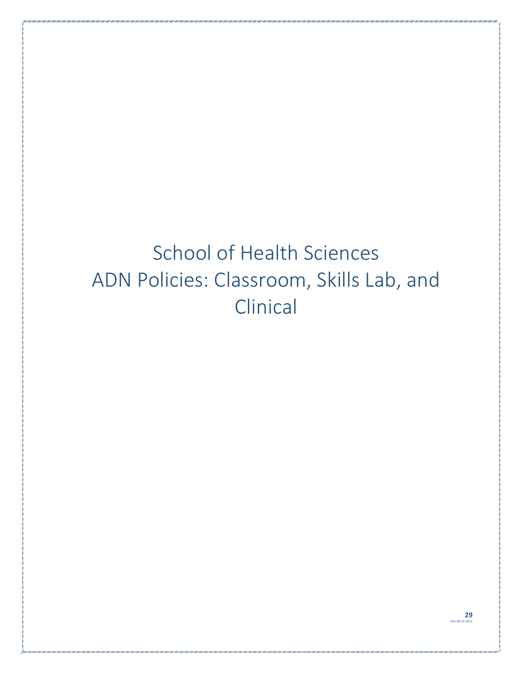# <span id="page-28-1"></span><span id="page-28-0"></span>School of Health Sciences ADN Policies: Classroom, Skills Lab, and **Clinical**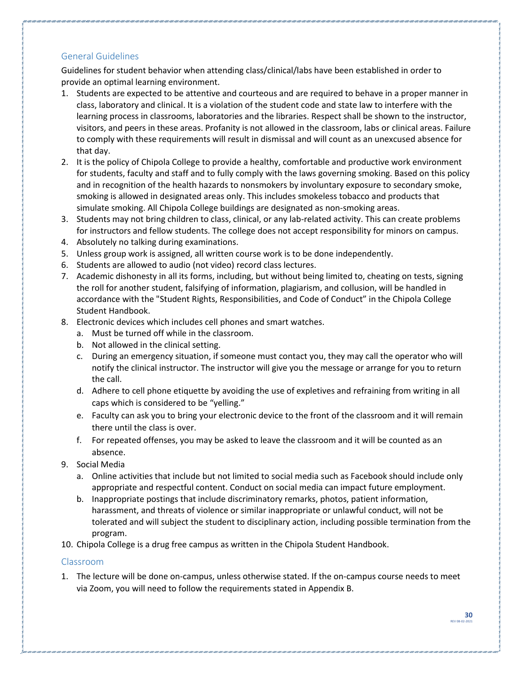#### <span id="page-29-0"></span>General Guidelines

Guidelines for student behavior when attending class/clinical/labs have been established in order to provide an optimal learning environment.

- 1. Students are expected to be attentive and courteous and are required to behave in a proper manner in class, laboratory and clinical. It is a violation of the student code and state law to interfere with the learning process in classrooms, laboratories and the libraries. Respect shall be shown to the instructor, visitors, and peers in these areas. Profanity is not allowed in the classroom, labs or clinical areas. Failure to comply with these requirements will result in dismissal and will count as an unexcused absence for that day.
- 2. It is the policy of Chipola College to provide a healthy, comfortable and productive work environment for students, faculty and staff and to fully comply with the laws governing smoking. Based on this policy and in recognition of the health hazards to nonsmokers by involuntary exposure to secondary smoke, smoking is allowed in designated areas only. This includes smokeless tobacco and products that simulate smoking. All Chipola College buildings are designated as non-smoking areas.
- 3. Students may not bring children to class, clinical, or any lab-related activity. This can create problems for instructors and fellow students. The college does not accept responsibility for minors on campus.
- 4. Absolutely no talking during examinations.
- 5. Unless group work is assigned, all written course work is to be done independently.
- 6. Students are allowed to audio (not video) record class lectures.
- 7. Academic dishonesty in all its forms, including, but without being limited to, cheating on tests, signing the roll for another student, falsifying of information, plagiarism, and collusion, will be handled in accordance with the "Student Rights, Responsibilities, and Code of Conduct" in the Chipola College Student Handbook.
- 8. Electronic devices which includes cell phones and smart watches.
	- a. Must be turned off while in the classroom.
	- b. Not allowed in the clinical setting.
	- c. During an emergency situation, if someone must contact you, they may call the operator who will notify the clinical instructor. The instructor will give you the message or arrange for you to return the call.
	- d. Adhere to cell phone etiquette by avoiding the use of expletives and refraining from writing in all caps which is considered to be "yelling."
	- e. Faculty can ask you to bring your electronic device to the front of the classroom and it will remain there until the class is over.
	- f. For repeated offenses, you may be asked to leave the classroom and it will be counted as an absence.
- 9. Social Media
	- a. Online activities that include but not limited to social media such as Facebook should include only appropriate and respectful content. Conduct on social media can impact future employment.
	- b. Inappropriate postings that include discriminatory remarks, photos, patient information, harassment, and threats of violence or similar inappropriate or unlawful conduct, will not be tolerated and will subject the student to disciplinary action, including possible termination from the program.
- 10. Chipola College is a drug free campus as written in the Chipola Student Handbook.

#### <span id="page-29-1"></span>Classroom

1. The lecture will be done on-campus, unless otherwise stated. If the on-campus course needs to meet via Zoom, you will need to follow the requirements stated in Appendix B.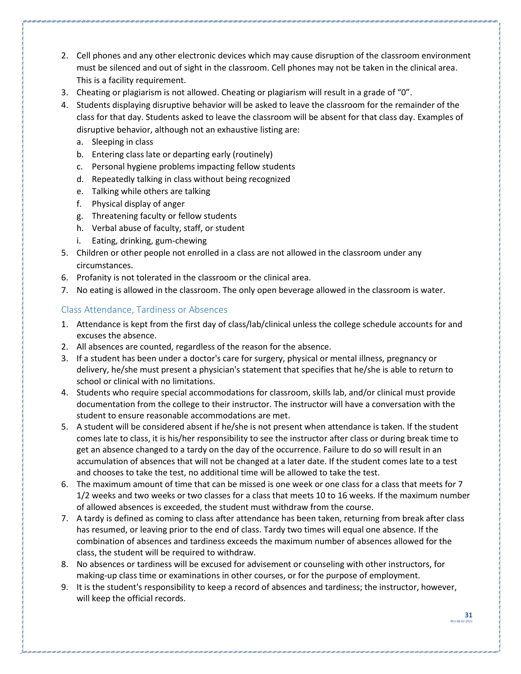- 2. Cell phones and any other electronic devices which may cause disruption of the classroom environment must be silenced and out of sight in the classroom. Cell phones may not be taken in the clinical area. This is a facility requirement.
- 3. Cheating or plagiarism is not allowed. Cheating or plagiarism will result in a grade of "0".
- 4. Students displaying disruptive behavior will be asked to leave the classroom for the remainder of the class for that day. Students asked to leave the classroom will be absent for that class day. Examples of disruptive behavior, although not an exhaustive listing are:
	- a. Sleeping in class
	- b. Entering class late or departing early (routinely)
	- c. Personal hygiene problems impacting fellow students
	- d. Repeatedly talking in class without being recognized
	- e. Talking while others are talking
	- f. Physical display of anger
	- g. Threatening faculty or fellow students
	- h. Verbal abuse of faculty, staff, or student
	- i. Eating, drinking, gum-chewing
- 5. Children or other people not enrolled in a class are not allowed in the classroom under any circumstances.
- 6. Profanity is not tolerated in the classroom or the clinical area.
- 7. No eating is allowed in the classroom. The only open beverage allowed in the classroom is water.

#### <span id="page-30-0"></span>Class Attendance, Tardiness or Absences

- 1. Attendance is kept from the first day of class/lab/clinical unless the college schedule accounts for and excuses the absence.
- 2. All absences are counted, regardless of the reason for the absence.
- 3. If a student has been under a doctor's care for surgery, physical or mental illness, pregnancy or delivery, he/she must present a physician's statement that specifies that he/she is able to return to school or clinical with no limitations.
- 4. Students who require special accommodations for classroom, skills lab, and/or clinical must provide documentation from the college to their instructor. The instructor will have a conversation with the student to ensure reasonable accommodations are met.
- 5. A student will be considered absent if he/she is not present when attendance is taken. If the student comes late to class, it is his/her responsibility to see the instructor after class or during break time to get an absence changed to a tardy on the day of the occurrence. Failure to do so will result in an accumulation of absences that will not be changed at a later date. If the student comes late to a test and chooses to take the test, no additional time will be allowed to take the test.
- 6. The maximum amount of time that can be missed is one week or one class for a class that meets for 7 1/2 weeks and two weeks or two classes for a class that meets 10 to 16 weeks. If the maximum number of allowed absences is exceeded, the student must withdraw from the course.
- 7. A tardy is defined as coming to class after attendance has been taken, returning from break after class has resumed, or leaving prior to the end of class. Tardy two times will equal one absence. If the combination of absences and tardiness exceeds the maximum number of absences allowed for the class, the student will be required to withdraw.
- 8. No absences or tardiness will be excused for advisement or counseling with other instructors, for making-up class time or examinations in other courses, or for the purpose of employment.
- 9. It is the student's responsibility to keep a record of absences and tardiness; the instructor, however, will keep the official records.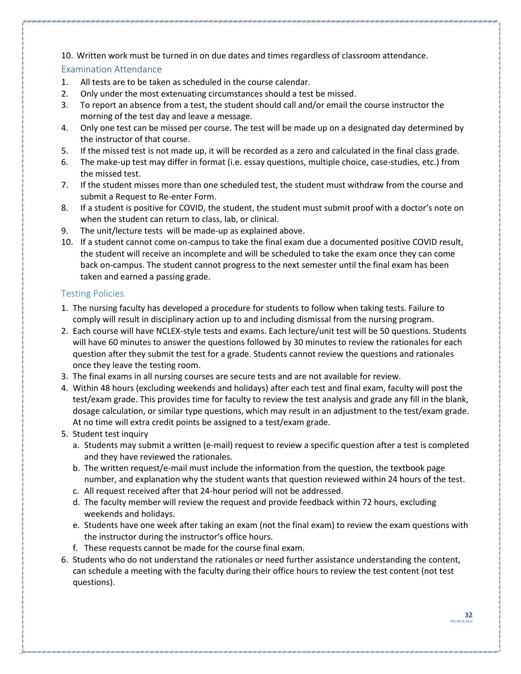10. Written work must be turned in on due dates and times regardless of classroom attendance.

#### <span id="page-31-0"></span>Examination Attendance

- 1. All tests are to be taken as scheduled in the course calendar.
- 2. Only under the most extenuating circumstances should a test be missed.
- 3. To report an absence from a test, the student should call and/or email the course instructor the morning of the test day and leave a message.
- 4. Only one test can be missed per course. The test will be made up on a designated day determined by the instructor of that course.
- 5. If the missed test is not made up, it will be recorded as a zero and calculated in the final class grade.
- 6. The make-up test may differ in format (i.e. essay questions, multiple choice, case-studies, etc.) from the missed test.
- 7. If the student misses more than one scheduled test, the student must withdraw from the course and submit a Request to Re-enter Form.
- 8. If a student is positive for COVID, the student, the student must submit proof with a doctor's note on when the student can return to class, lab, or clinical.
- 9. The unit/lecture tests will be made-up as explained above.
- 10. If a student cannot come on-campus to take the final exam due a documented positive COVID result, the student will receive an incomplete and will be scheduled to take the exam once they can come back on-campus. The student cannot progress to the next semester until the final exam has been taken and earned a passing grade.

#### <span id="page-31-1"></span>Testing Policies

- 1. The nursing faculty has developed a procedure for students to follow when taking tests. Failure to comply will result in disciplinary action up to and including dismissal from the nursing program.
- 2. Each course will have NCLEX-style tests and exams. Each lecture/unit test will be 50 questions. Students will have 60 minutes to answer the questions followed by 30 minutes to review the rationales for each question after they submit the test for a grade. Students cannot review the questions and rationales once they leave the testing room.
- 3. The final exams in all nursing courses are secure tests and are not available for review.
- 4. Within 48 hours (excluding weekends and holidays) after each test and final exam, faculty will post the test/exam grade. This provides time for faculty to review the test analysis and grade any fill in the blank, dosage calculation, or similar type questions, which may result in an adjustment to the test/exam grade. At no time will extra credit points be assigned to a test/exam grade.
- 5. Student test inquiry
	- a. Students may submit a written (e-mail) request to review a specific question after a test is completed and they have reviewed the rationales.
	- b. The written request/e-mail must include the information from the question, the textbook page number, and explanation why the student wants that question reviewed within 24 hours of the test.
	- c. All request received after that 24-hour period will not be addressed.
	- d. The faculty member will review the request and provide feedback within 72 hours, excluding weekends and holidays.
	- e. Students have one week after taking an exam (not the final exam) to review the exam questions with the instructor during the instructor's office hours.
	- f. These requests cannot be made for the course final exam.
- 6. Students who do not understand the rationales or need further assistance understanding the content, can schedule a meeting with the faculty during their office hours to review the test content (not test questions).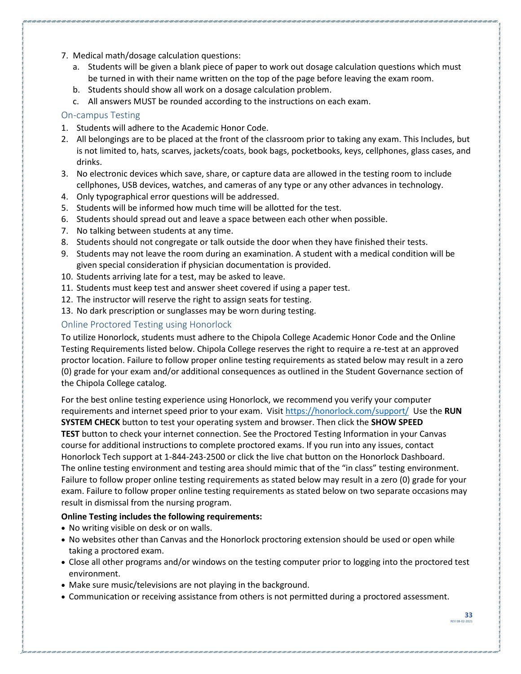- 7. Medical math/dosage calculation questions:
	- a. Students will be given a blank piece of paper to work out dosage calculation questions which must be turned in with their name written on the top of the page before leaving the exam room.
	- b. Students should show all work on a dosage calculation problem.
	- c. All answers MUST be rounded according to the instructions on each exam.

#### <span id="page-32-0"></span>On-campus Testing

- 1. Students will adhere to the Academic Honor Code.
- 2. All belongings are to be placed at the front of the classroom prior to taking any exam. This Includes, but is not limited to, hats, scarves, jackets/coats, book bags, pocketbooks, keys, cellphones, glass cases, and drinks.
- 3. No electronic devices which save, share, or capture data are allowed in the testing room to include cellphones, USB devices, watches, and cameras of any type or any other advances in technology.
- 4. Only typographical error questions will be addressed.
- 5. Students will be informed how much time will be allotted for the test.
- 6. Students should spread out and leave a space between each other when possible.
- 7. No talking between students at any time.
- 8. Students should not congregate or talk outside the door when they have finished their tests.
- 9. Students may not leave the room during an examination. A student with a medical condition will be given special consideration if physician documentation is provided.
- 10. Students arriving late for a test, may be asked to leave.
- 11. Students must keep test and answer sheet covered if using a paper test.
- 12. The instructor will reserve the right to assign seats for testing.
- 13. No dark prescription or sunglasses may be worn during testing.

#### <span id="page-32-1"></span>Online Proctored Testing using Honorlock

To utilize Honorlock, students must adhere to the Chipola College Academic Honor Code and the Online Testing Requirements listed below. Chipola College reserves the right to require a re-test at an approved proctor location. Failure to follow proper online testing requirements as stated below may result in a zero (0) grade for your exam and/or additional consequences as outlined in the Student Governance section of the Chipola College catalog.

For the best online testing experience using Honorlock, we recommend you verify your computer requirements and internet speed prior to your exam. Visi[t https://honorlock.com/support/](https://honorlock.com/support/) Use the **RUN SYSTEM CHECK** button to test your operating system and browser. Then click the **SHOW SPEED TEST** button to check your internet connection. See the Proctored Testing Information in your Canvas course for additional instructions to complete proctored exams. If you run into any issues, contact Honorlock Tech support at 1-844-243-2500 or click the live chat button on the Honorlock Dashboard. The online testing environment and testing area should mimic that of the "in class" testing environment. Failure to follow proper online testing requirements as stated below may result in a zero (0) grade for your exam. Failure to follow proper online testing requirements as stated below on two separate occasions may result in dismissal from the nursing program.

#### **Online Testing includes the following requirements:**

- No writing visible on desk or on walls.
- No websites other than Canvas and the Honorlock proctoring extension should be used or open while taking a proctored exam.
- Close all other programs and/or windows on the testing computer prior to logging into the proctored test environment.
- Make sure music/televisions are not playing in the background.
- Communication or receiving assistance from others is not permitted during a proctored assessment.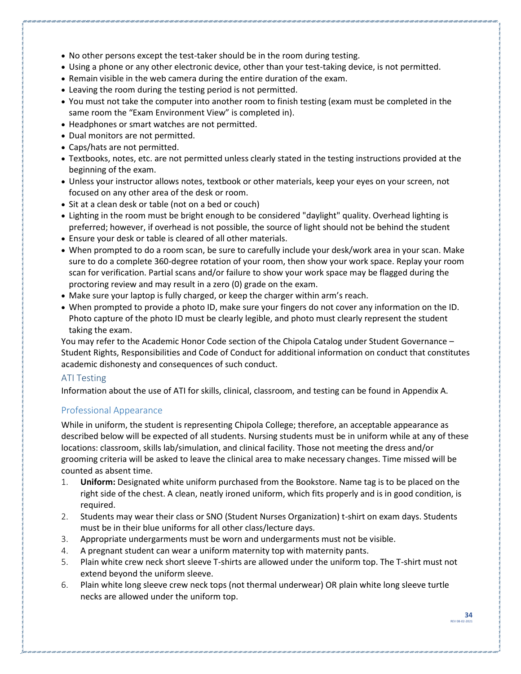- No other persons except the test-taker should be in the room during testing.
- Using a phone or any other electronic device, other than your test-taking device, is not permitted.
- Remain visible in the web camera during the entire duration of the exam.
- Leaving the room during the testing period is not permitted.
- You must not take the computer into another room to finish testing (exam must be completed in the same room the "Exam Environment View" is completed in).
- Headphones or smart watches are not permitted.
- Dual monitors are not permitted.
- Caps/hats are not permitted.
- Textbooks, notes, etc. are not permitted unless clearly stated in the testing instructions provided at the beginning of the exam.
- Unless your instructor allows notes, textbook or other materials, keep your eyes on your screen, not focused on any other area of the desk or room.
- Sit at a clean desk or table (not on a bed or couch)
- Lighting in the room must be bright enough to be considered "daylight" quality. Overhead lighting is preferred; however, if overhead is not possible, the source of light should not be behind the student
- Ensure your desk or table is cleared of all other materials.
- When prompted to do a room scan, be sure to carefully include your desk/work area in your scan. Make sure to do a complete 360-degree rotation of your room, then show your work space. Replay your room scan for verification. Partial scans and/or failure to show your work space may be flagged during the proctoring review and may result in a zero (0) grade on the exam.
- Make sure your laptop is fully charged, or keep the charger within arm's reach.
- When prompted to provide a photo ID, make sure your fingers do not cover any information on the ID. Photo capture of the photo ID must be clearly legible, and photo must clearly represent the student taking the exam.

You may refer to the Academic Honor Code section of the Chipola Catalog under Student Governance – Student Rights, Responsibilities and Code of Conduct for additional information on conduct that constitutes academic dishonesty and consequences of such conduct.

#### <span id="page-33-0"></span>ATI Testing

Information about the use of ATI for skills, clinical, classroom, and testing can be found in Appendix A.

#### <span id="page-33-1"></span>Professional Appearance

While in uniform, the student is representing Chipola College; therefore, an acceptable appearance as described below will be expected of all students. Nursing students must be in uniform while at any of these locations: classroom, skills lab/simulation, and clinical facility. Those not meeting the dress and/or grooming criteria will be asked to leave the clinical area to make necessary changes. Time missed will be counted as absent time.

- 1. **Uniform:** Designated white uniform purchased from the Bookstore. Name tag is to be placed on the right side of the chest. A clean, neatly ironed uniform, which fits properly and is in good condition, is required.
- 2. Students may wear their class or SNO (Student Nurses Organization) t-shirt on exam days. Students must be in their blue uniforms for all other class/lecture days.
- 3. Appropriate undergarments must be worn and undergarments must not be visible.
- 4. A pregnant student can wear a uniform maternity top with maternity pants.
- 5. Plain white crew neck short sleeve T-shirts are allowed under the uniform top. The T-shirt must not extend beyond the uniform sleeve.
- 6. Plain white long sleeve crew neck tops (not thermal underwear) OR plain white long sleeve turtle necks are allowed under the uniform top.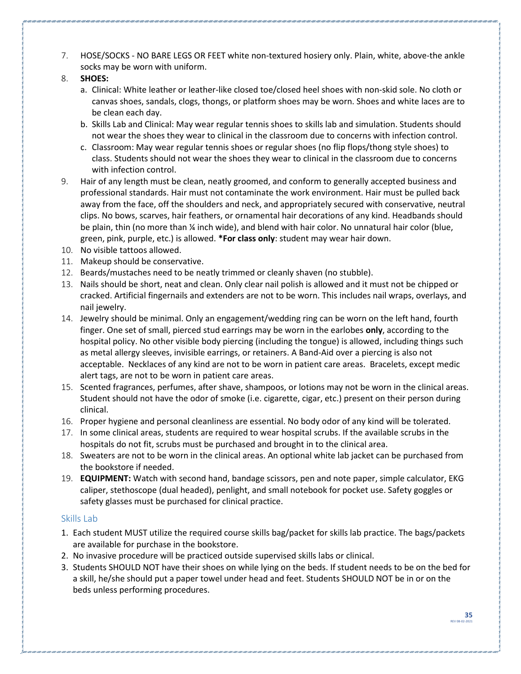- 7. HOSE/SOCKS NO BARE LEGS OR FEET white non-textured hosiery only. Plain, white, above-the ankle socks may be worn with uniform.
- 8. **SHOES:** 
	- a. Clinical: White leather or leather-like closed toe/closed heel shoes with non-skid sole. No cloth or canvas shoes, sandals, clogs, thongs, or platform shoes may be worn. Shoes and white laces are to be clean each day.
	- b. Skills Lab and Clinical: May wear regular tennis shoes to skills lab and simulation. Students should not wear the shoes they wear to clinical in the classroom due to concerns with infection control.
	- c. Classroom: May wear regular tennis shoes or regular shoes (no flip flops/thong style shoes) to class. Students should not wear the shoes they wear to clinical in the classroom due to concerns with infection control.
- 9. Hair of any length must be clean, neatly groomed, and conform to generally accepted business and professional standards. Hair must not contaminate the work environment. Hair must be pulled back away from the face, off the shoulders and neck, and appropriately secured with conservative, neutral clips. No bows, scarves, hair feathers, or ornamental hair decorations of any kind. Headbands should be plain, thin (no more than  $\frac{1}{4}$  inch wide), and blend with hair color. No unnatural hair color (blue, green, pink, purple, etc.) is allowed. **\*For class only**: student may wear hair down.
- 10. No visible tattoos allowed.
- 11. Makeup should be conservative.
- 12. Beards/mustaches need to be neatly trimmed or cleanly shaven (no stubble).
- 13. Nails should be short, neat and clean. Only clear nail polish is allowed and it must not be chipped or cracked. Artificial fingernails and extenders are not to be worn. This includes nail wraps, overlays, and nail jewelry.
- 14. Jewelry should be minimal. Only an engagement/wedding ring can be worn on the left hand, fourth finger. One set of small, pierced stud earrings may be worn in the earlobes **only**, according to the hospital policy. No other visible body piercing (including the tongue) is allowed, including things such as metal allergy sleeves, invisible earrings, or retainers. A Band-Aid over a piercing is also not acceptable. Necklaces of any kind are not to be worn in patient care areas. Bracelets, except medic alert tags, are not to be worn in patient care areas.
- 15. Scented fragrances, perfumes, after shave, shampoos, or lotions may not be worn in the clinical areas. Student should not have the odor of smoke (i.e. cigarette, cigar, etc.) present on their person during clinical.
- 16. Proper hygiene and personal cleanliness are essential. No body odor of any kind will be tolerated.
- 17. In some clinical areas, students are required to wear hospital scrubs. If the available scrubs in the hospitals do not fit, scrubs must be purchased and brought in to the clinical area.
- 18. Sweaters are not to be worn in the clinical areas. An optional white lab jacket can be purchased from the bookstore if needed.
- 19. **EQUIPMENT:** Watch with second hand, bandage scissors, pen and note paper, simple calculator, EKG caliper, stethoscope (dual headed), penlight, and small notebook for pocket use. Safety goggles or safety glasses must be purchased for clinical practice.

#### <span id="page-34-0"></span>Skills Lab

- 1. Each student MUST utilize the required course skills bag/packet for skills lab practice. The bags/packets are available for purchase in the bookstore.
- 2. No invasive procedure will be practiced outside supervised skills labs or clinical.
- 3. Students SHOULD NOT have their shoes on while lying on the beds. If student needs to be on the bed for a skill, he/she should put a paper towel under head and feet. Students SHOULD NOT be in or on the beds unless performing procedures.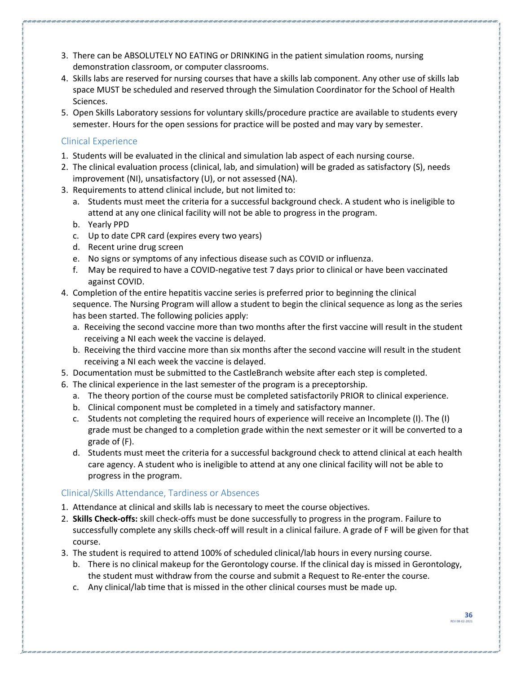- 3. There can be ABSOLUTELY NO EATING or DRINKING in the patient simulation rooms, nursing demonstration classroom, or computer classrooms.
- 4. Skills labs are reserved for nursing courses that have a skills lab component. Any other use of skills lab space MUST be scheduled and reserved through the Simulation Coordinator for the School of Health Sciences.
- 5. Open Skills Laboratory sessions for voluntary skills/procedure practice are available to students every semester. Hours for the open sessions for practice will be posted and may vary by semester.

#### <span id="page-35-0"></span>Clinical Experience

- 1. Students will be evaluated in the clinical and simulation lab aspect of each nursing course.
- 2. The clinical evaluation process (clinical, lab, and simulation) will be graded as satisfactory (S), needs improvement (NI), unsatisfactory (U), or not assessed (NA).
- 3. Requirements to attend clinical include, but not limited to:
	- a. Students must meet the criteria for a successful background check. A student who is ineligible to attend at any one clinical facility will not be able to progress in the program.
	- b. Yearly PPD
	- c. Up to date CPR card (expires every two years)
	- d. Recent urine drug screen
	- e. No signs or symptoms of any infectious disease such as COVID or influenza.
	- f. May be required to have a COVID-negative test 7 days prior to clinical or have been vaccinated against COVID.
- 4. Completion of the entire hepatitis vaccine series is preferred prior to beginning the clinical sequence. The Nursing Program will allow a student to begin the clinical sequence as long as the series has been started. The following policies apply:
	- a. Receiving the second vaccine more than two months after the first vaccine will result in the student receiving a NI each week the vaccine is delayed.
	- b. Receiving the third vaccine more than six months after the second vaccine will result in the student receiving a NI each week the vaccine is delayed.
- 5. Documentation must be submitted to the CastleBranch website after each step is completed.
- 6. The clinical experience in the last semester of the program is a preceptorship.
	- a. The theory portion of the course must be completed satisfactorily PRIOR to clinical experience.
	- b. Clinical component must be completed in a timely and satisfactory manner.
	- c. Students not completing the required hours of experience will receive an Incomplete (I). The (I) grade must be changed to a completion grade within the next semester or it will be converted to a grade of (F).
	- d. Students must meet the criteria for a successful background check to attend clinical at each health care agency. A student who is ineligible to attend at any one clinical facility will not be able to progress in the program.

#### <span id="page-35-1"></span>Clinical/Skills Attendance, Tardiness or Absences

- 1. Attendance at clinical and skills lab is necessary to meet the course objectives.
- 2. **Skills Check-offs:** skill check-offs must be done successfully to progress in the program. Failure to successfully complete any skills check-off will result in a clinical failure. A grade of F will be given for that course.
- 3. The student is required to attend 100% of scheduled clinical/lab hours in every nursing course.
	- b. There is no clinical makeup for the Gerontology course. If the clinical day is missed in Gerontology, the student must withdraw from the course and submit a Request to Re-enter the course.
	- c. Any clinical/lab time that is missed in the other clinical courses must be made up.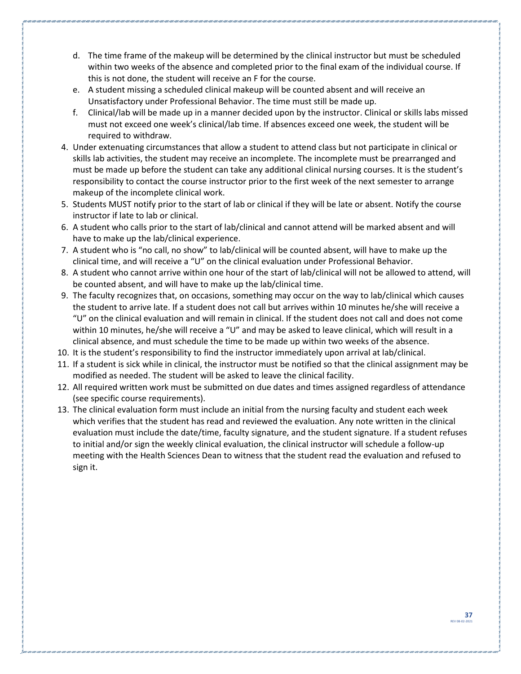- d. The time frame of the makeup will be determined by the clinical instructor but must be scheduled within two weeks of the absence and completed prior to the final exam of the individual course. If this is not done, the student will receive an F for the course.
- e. A student missing a scheduled clinical makeup will be counted absent and will receive an Unsatisfactory under Professional Behavior. The time must still be made up.
- f. Clinical/lab will be made up in a manner decided upon by the instructor. Clinical or skills labs missed must not exceed one week's clinical/lab time. If absences exceed one week, the student will be required to withdraw.
- 4. Under extenuating circumstances that allow a student to attend class but not participate in clinical or skills lab activities, the student may receive an incomplete. The incomplete must be prearranged and must be made up before the student can take any additional clinical nursing courses. It is the student's responsibility to contact the course instructor prior to the first week of the next semester to arrange makeup of the incomplete clinical work.
- 5. Students MUST notify prior to the start of lab or clinical if they will be late or absent. Notify the course instructor if late to lab or clinical.
- 6. A student who calls prior to the start of lab/clinical and cannot attend will be marked absent and will have to make up the lab/clinical experience.
- 7. A student who is "no call, no show" to lab/clinical will be counted absent, will have to make up the clinical time, and will receive a "U" on the clinical evaluation under Professional Behavior.
- 8. A student who cannot arrive within one hour of the start of lab/clinical will not be allowed to attend, will be counted absent, and will have to make up the lab/clinical time.
- 9. The faculty recognizes that, on occasions, something may occur on the way to lab/clinical which causes the student to arrive late. If a student does not call but arrives within 10 minutes he/she will receive a "U" on the clinical evaluation and will remain in clinical. If the student does not call and does not come within 10 minutes, he/she will receive a "U" and may be asked to leave clinical, which will result in a clinical absence, and must schedule the time to be made up within two weeks of the absence.
- 10. It is the student's responsibility to find the instructor immediately upon arrival at lab/clinical.
- 11. If a student is sick while in clinical, the instructor must be notified so that the clinical assignment may be modified as needed. The student will be asked to leave the clinical facility.
- 12. All required written work must be submitted on due dates and times assigned regardless of attendance (see specific course requirements).
- 13. The clinical evaluation form must include an initial from the nursing faculty and student each week which verifies that the student has read and reviewed the evaluation. Any note written in the clinical evaluation must include the date/time, faculty signature, and the student signature. If a student refuses to initial and/or sign the weekly clinical evaluation, the clinical instructor will schedule a follow-up meeting with the Health Sciences Dean to witness that the student read the evaluation and refused to sign it.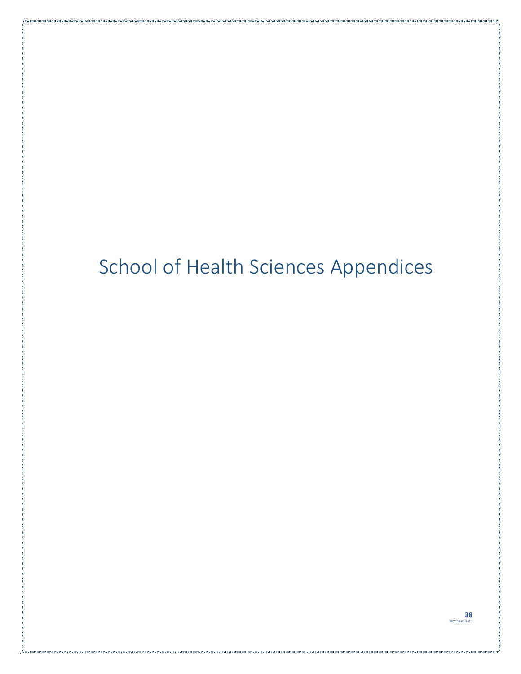# <span id="page-37-0"></span>School of Health Sciences Appendices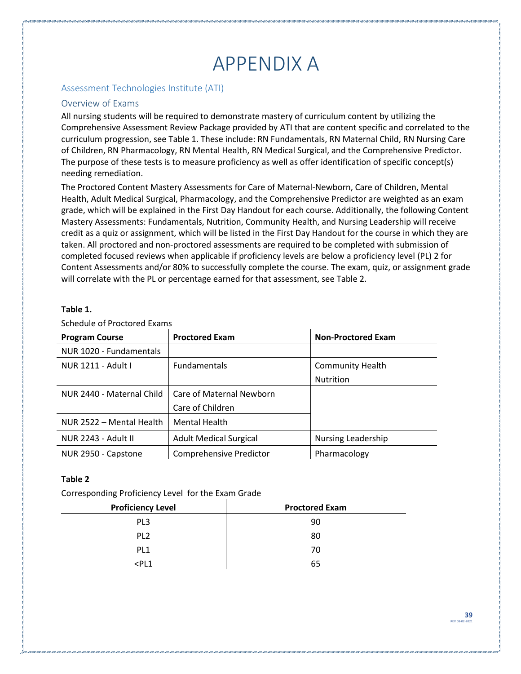# APPENDIX A

#### <span id="page-38-1"></span><span id="page-38-0"></span>Assessment Technologies Institute (ATI)

#### <span id="page-38-2"></span>Overview of Exams

All nursing students will be required to demonstrate mastery of curriculum content by utilizing the Comprehensive Assessment Review Package provided by ATI that are content specific and correlated to the curriculum progression, see Table 1. These include: RN Fundamentals, RN Maternal Child, RN Nursing Care of Children, RN Pharmacology, RN Mental Health, RN Medical Surgical, and the Comprehensive Predictor. The purpose of these tests is to measure proficiency as well as offer identification of specific concept(s) needing remediation.

The Proctored Content Mastery Assessments for Care of Maternal-Newborn, Care of Children, Mental Health, Adult Medical Surgical, Pharmacology, and the Comprehensive Predictor are weighted as an exam grade, which will be explained in the First Day Handout for each course. Additionally, the following Content Mastery Assessments: Fundamentals, Nutrition, Community Health, and Nursing Leadership will receive credit as a quiz or assignment, which will be listed in the First Day Handout for the course in which they are taken. All proctored and non-proctored assessments are required to be completed with submission of completed focused reviews when applicable if proficiency levels are below a proficiency level (PL) 2 for Content Assessments and/or 80% to successfully complete the course. The exam, quiz, or assignment grade will correlate with the PL or percentage earned for that assessment, see Table 2.

#### **Table 1.**

| <b>Program Course</b>     | <b>Proctored Exam</b>          | <b>Non-Proctored Exam</b> |
|---------------------------|--------------------------------|---------------------------|
| NUR 1020 - Fundamentals   |                                |                           |
| NUR 1211 - Adult I        | <b>Fundamentals</b>            | <b>Community Health</b>   |
|                           |                                | <b>Nutrition</b>          |
| NUR 2440 - Maternal Child | Care of Maternal Newborn       |                           |
|                           | Care of Children               |                           |
| NUR 2522 – Mental Health  | <b>Mental Health</b>           |                           |
| NUR 2243 - Adult II       | <b>Adult Medical Surgical</b>  | Nursing Leadership        |
| NUR 2950 - Capstone       | <b>Comprehensive Predictor</b> | Pharmacology              |

Schedule of Proctored Exams

#### **Table 2**

Corresponding Proficiency Level for the Exam Grade

| <b>Proficiency Level</b> | <b>Proctored Exam</b> |
|--------------------------|-----------------------|
| PL <sub>3</sub>          | 90                    |
| PL <sub>2</sub>          | 80                    |
| PL <sub>1</sub>          | 70                    |
| $<$ PL1                  | 65                    |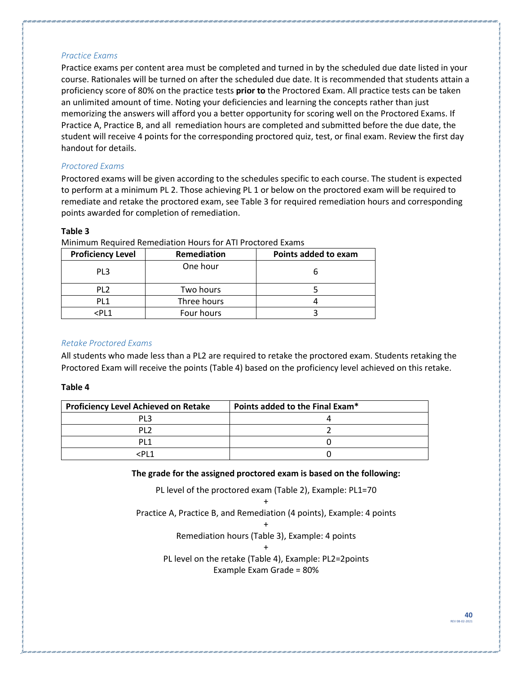#### *Practice Exams*

Practice exams per content area must be completed and turned in by the scheduled due date listed in your course. Rationales will be turned on after the scheduled due date. It is recommended that students attain a proficiency score of 80% on the practice tests **prior to** the Proctored Exam. All practice tests can be taken an unlimited amount of time. Noting your deficiencies and learning the concepts rather than just memorizing the answers will afford you a better opportunity for scoring well on the Proctored Exams. If Practice A, Practice B, and all remediation hours are completed and submitted before the due date, the student will receive 4 points for the corresponding proctored quiz, test, or final exam. Review the first day handout for details.

#### *Proctored Exams*

Proctored exams will be given according to the schedules specific to each course. The student is expected to perform at a minimum PL 2. Those achieving PL 1 or below on the proctored exam will be required to remediate and retake the proctored exam, see Table 3 for required remediation hours and corresponding points awarded for completion of remediation.

#### **Table 3**

| <b>Proficiency Level</b> | Remediation | Points added to exam |
|--------------------------|-------------|----------------------|
| PL3                      | One hour    |                      |
| PL <sub>2</sub>          | Two hours   |                      |
| PL <sub>1</sub>          | Three hours |                      |
| $<$ PL1                  | Four hours  |                      |

Minimum Required Remediation Hours for ATI Proctored Exams

#### *Retake Proctored Exams*

All students who made less than a PL2 are required to retake the proctored exam. Students retaking the Proctored Exam will receive the points (Table 4) based on the proficiency level achieved on this retake.

#### **Table 4**

| <b>Proficiency Level Achieved on Retake</b> | Points added to the Final Exam* |
|---------------------------------------------|---------------------------------|
| PI 3                                        |                                 |
| DI 7                                        |                                 |
| DI 1                                        |                                 |
| ^ DI ح                                      |                                 |

**The grade for the assigned proctored exam is based on the following:**

PL level of the proctored exam (Table 2), Example: PL1=70

+ Practice A, Practice B, and Remediation (4 points), Example: 4 points

+

Remediation hours (Table 3), Example: 4 points +

PL level on the retake (Table 4), Example: PL2=2points Example Exam Grade = 80%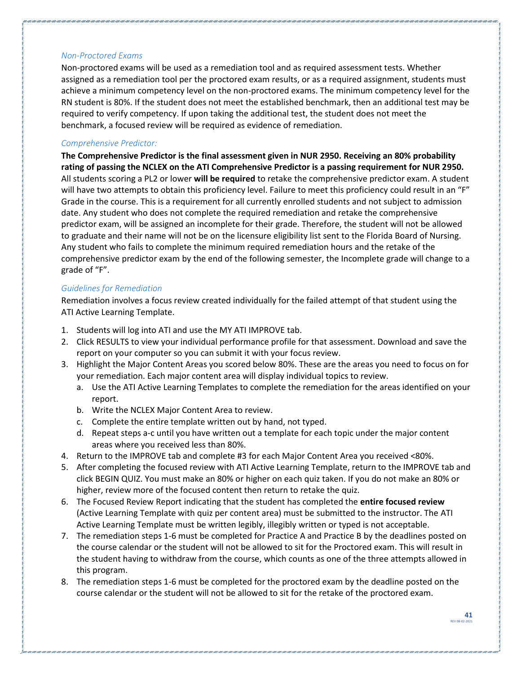#### *Non-Proctored Exams*

Non-proctored exams will be used as a remediation tool and as required assessment tests. Whether assigned as a remediation tool per the proctored exam results, or as a required assignment, students must achieve a minimum competency level on the non-proctored exams. The minimum competency level for the RN student is 80%. If the student does not meet the established benchmark, then an additional test may be required to verify competency. If upon taking the additional test, the student does not meet the benchmark, a focused review will be required as evidence of remediation.

#### *Comprehensive Predictor:*

**The Comprehensive Predictor is the final assessment given in NUR 2950. Receiving an 80% probability rating of passing the NCLEX on the ATI Comprehensive Predictor is a passing requirement for NUR 2950.**  All students scoring a PL2 or lower **will be required** to retake the comprehensive predictor exam. A student will have two attempts to obtain this proficiency level. Failure to meet this proficiency could result in an "F" Grade in the course. This is a requirement for all currently enrolled students and not subject to admission date. Any student who does not complete the required remediation and retake the comprehensive predictor exam, will be assigned an incomplete for their grade. Therefore, the student will not be allowed to graduate and their name will not be on the licensure eligibility list sent to the Florida Board of Nursing. Any student who fails to complete the minimum required remediation hours and the retake of the comprehensive predictor exam by the end of the following semester, the Incomplete grade will change to a grade of "F".

#### *Guidelines for Remediation*

Remediation involves a focus review created individually for the failed attempt of that student using the ATI Active Learning Template.

- 1. Students will log into ATI and use the MY ATI IMPROVE tab.
- 2. Click RESULTS to view your individual performance profile for that assessment. Download and save the report on your computer so you can submit it with your focus review.
- 3. Highlight the Major Content Areas you scored below 80%. These are the areas you need to focus on for your remediation. Each major content area will display individual topics to review.
	- a. Use the ATI Active Learning Templates to complete the remediation for the areas identified on your report.
	- b. Write the NCLEX Major Content Area to review.
	- c. Complete the entire template written out by hand, not typed.
	- d. Repeat steps a-c until you have written out a template for each topic under the major content areas where you received less than 80%.
- 4. Return to the IMPROVE tab and complete #3 for each Major Content Area you received <80%.
- 5. After completing the focused review with ATI Active Learning Template, return to the IMPROVE tab and click BEGIN QUIZ. You must make an 80% or higher on each quiz taken. If you do not make an 80% or higher, review more of the focused content then return to retake the quiz.
- 6. The Focused Review Report indicating that the student has completed the **entire focused review**  (Active Learning Template with quiz per content area) must be submitted to the instructor. The ATI Active Learning Template must be written legibly, illegibly written or typed is not acceptable.
- 7. The remediation steps 1-6 must be completed for Practice A and Practice B by the deadlines posted on the course calendar or the student will not be allowed to sit for the Proctored exam. This will result in the student having to withdraw from the course, which counts as one of the three attempts allowed in this program.
- 8. The remediation steps 1-6 must be completed for the proctored exam by the deadline posted on the course calendar or the student will not be allowed to sit for the retake of the proctored exam.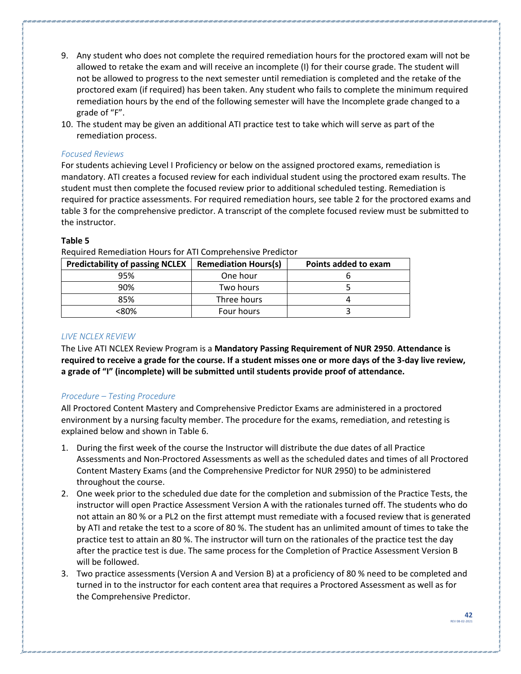- 9. Any student who does not complete the required remediation hours for the proctored exam will not be allowed to retake the exam and will receive an incomplete (I) for their course grade. The student will not be allowed to progress to the next semester until remediation is completed and the retake of the proctored exam (if required) has been taken. Any student who fails to complete the minimum required remediation hours by the end of the following semester will have the Incomplete grade changed to a grade of "F".
- 10. The student may be given an additional ATI practice test to take which will serve as part of the remediation process.

#### *Focused Reviews*

For students achieving Level I Proficiency or below on the assigned proctored exams, remediation is mandatory. ATI creates a focused review for each individual student using the proctored exam results. The student must then complete the focused review prior to additional scheduled testing. Remediation is required for practice assessments. For required remediation hours, see table 2 for the proctored exams and table 3 for the comprehensive predictor. A transcript of the complete focused review must be submitted to the instructor.

#### **Table 5**

| <b>Predictability of passing NCLEX</b> | <b>Remediation Hours(s)</b> | Points added to exam |
|----------------------------------------|-----------------------------|----------------------|
| 95%                                    | One hour                    |                      |
| 90%                                    | Two hours                   |                      |
| 85%                                    | Three hours                 |                      |
| <80%                                   | Four hours                  |                      |

Required Remediation Hours for ATI Comprehensive Predictor

#### *LIVE NCLEX REVIEW*

The Live ATI NCLEX Review Program is a **Mandatory Passing Requirement of NUR 2950**. **Attendance is required to receive a grade for the course. If a student misses one or more days of the 3-day live review, a grade of "I" (incomplete) will be submitted until students provide proof of attendance.**

#### *Procedure – Testing Procedure*

All Proctored Content Mastery and Comprehensive Predictor Exams are administered in a proctored environment by a nursing faculty member. The procedure for the exams, remediation, and retesting is explained below and shown in Table 6.

- 1. During the first week of the course the Instructor will distribute the due dates of all Practice Assessments and Non-Proctored Assessments as well as the scheduled dates and times of all Proctored Content Mastery Exams (and the Comprehensive Predictor for NUR 2950) to be administered throughout the course.
- 2. One week prior to the scheduled due date for the completion and submission of the Practice Tests, the instructor will open Practice Assessment Version A with the rationales turned off. The students who do not attain an 80 % or a PL2 on the first attempt must remediate with a focused review that is generated by ATI and retake the test to a score of 80 %. The student has an unlimited amount of times to take the practice test to attain an 80 %. The instructor will turn on the rationales of the practice test the day after the practice test is due. The same process for the Completion of Practice Assessment Version B will be followed.
- 3. Two practice assessments (Version A and Version B) at a proficiency of 80 % need to be completed and turned in to the instructor for each content area that requires a Proctored Assessment as well as for the Comprehensive Predictor.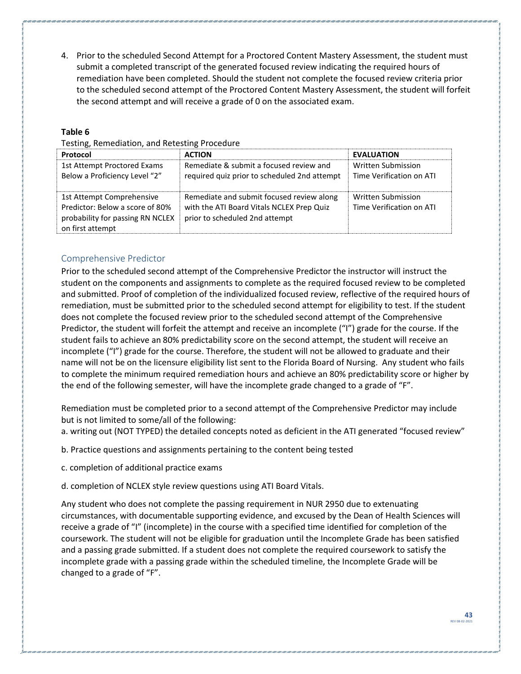4. Prior to the scheduled Second Attempt for a Proctored Content Mastery Assessment, the student must submit a completed transcript of the generated focused review indicating the required hours of remediation have been completed. Should the student not complete the focused review criteria prior to the scheduled second attempt of the Proctored Content Mastery Assessment, the student will forfeit the second attempt and will receive a grade of 0 on the associated exam.

#### **Table 6**

#### Testing, Remediation, and Retesting Procedure

| Protocol                                                                                                             | <b>ACTION</b>                                                                                                            | <b>EVALUATION</b>                              |  |
|----------------------------------------------------------------------------------------------------------------------|--------------------------------------------------------------------------------------------------------------------------|------------------------------------------------|--|
| 1st Attempt Proctored Exams<br>Below a Proficiency Level "2"                                                         | Remediate & submit a focused review and<br>required quiz prior to scheduled 2nd attempt                                  | Written Submission<br>Time Verification on ATI |  |
| 1st Attempt Comprehensive<br>Predictor: Below a score of 80%<br>probability for passing RN NCLEX<br>on first attempt | Remediate and submit focused review along<br>with the ATI Board Vitals NCLEX Prep Quiz<br>prior to scheduled 2nd attempt | Written Submission<br>Time Verification on ATI |  |

#### <span id="page-42-0"></span>Comprehensive Predictor

Prior to the scheduled second attempt of the Comprehensive Predictor the instructor will instruct the student on the components and assignments to complete as the required focused review to be completed and submitted. Proof of completion of the individualized focused review, reflective of the required hours of remediation, must be submitted prior to the scheduled second attempt for eligibility to test. If the student does not complete the focused review prior to the scheduled second attempt of the Comprehensive Predictor, the student will forfeit the attempt and receive an incomplete ("I") grade for the course. If the student fails to achieve an 80% predictability score on the second attempt, the student will receive an incomplete ("I") grade for the course. Therefore, the student will not be allowed to graduate and their name will not be on the licensure eligibility list sent to the Florida Board of Nursing. Any student who fails to complete the minimum required remediation hours and achieve an 80% predictability score or higher by the end of the following semester, will have the incomplete grade changed to a grade of "F".

Remediation must be completed prior to a second attempt of the Comprehensive Predictor may include but is not limited to some/all of the following:

a. writing out (NOT TYPED) the detailed concepts noted as deficient in the ATI generated "focused review"

b. Practice questions and assignments pertaining to the content being tested

c. completion of additional practice exams

d. completion of NCLEX style review questions using ATI Board Vitals.

Any student who does not complete the passing requirement in NUR 2950 due to extenuating circumstances, with documentable supporting evidence, and excused by the Dean of Health Sciences will receive a grade of "I" (incomplete) in the course with a specified time identified for completion of the coursework. The student will not be eligible for graduation until the Incomplete Grade has been satisfied and a passing grade submitted. If a student does not complete the required coursework to satisfy the incomplete grade with a passing grade within the scheduled timeline, the Incomplete Grade will be changed to a grade of "F".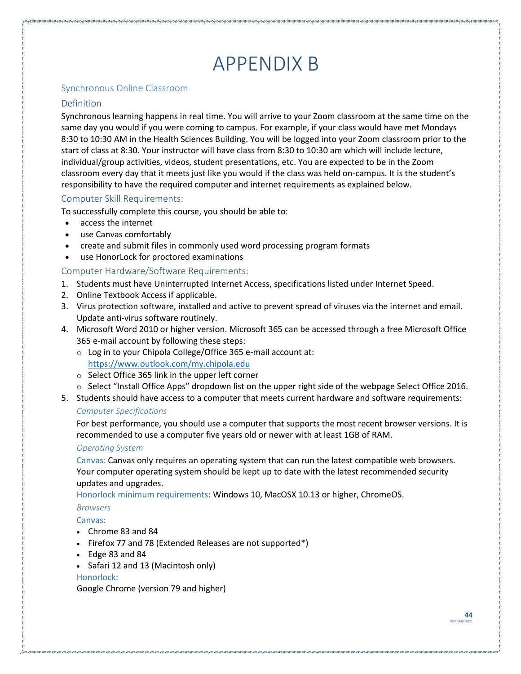# APPENDIX B

#### <span id="page-43-1"></span><span id="page-43-0"></span>Synchronous Online Classroom

#### <span id="page-43-2"></span>Definition

Synchronous learning happens in real time. You will arrive to your Zoom classroom at the same time on the same day you would if you were coming to campus. For example, if your class would have met Mondays 8:30 to 10:30 AM in the Health Sciences Building. You will be logged into your Zoom classroom prior to the start of class at 8:30. Your instructor will have class from 8:30 to 10:30 am which will include lecture, individual/group activities, videos, student presentations, etc. You are expected to be in the Zoom classroom every day that it meets just like you would if the class was held on-campus. It is the student's responsibility to have the required computer and internet requirements as explained below.

#### <span id="page-43-3"></span>Computer Skill Requirements:

To successfully complete this course, you should be able to:

- access the internet
- use Canvas comfortably
- create and submit files in commonly used word processing program formats
- use HonorLock for proctored examinations

#### <span id="page-43-4"></span>Computer Hardware/Software Requirements:

- 1. Students must have Uninterrupted Internet Access, specifications listed under Internet Speed.
- 2. Online Textbook Access if applicable.
- 3. Virus protection software, installed and active to prevent spread of viruses via the internet and email. Update anti-virus software routinely.
- 4. Microsoft Word 2010 or higher version. Microsoft 365 can be accessed through a free Microsoft Office 365 e-mail account by following these steps:
	- o Log in to your Chipola College/Office 365 e-mail account at: <https://www.outlook.com/my.chipola.edu>
	- o Select Office 365 link in the upper left corner
	- $\circ$  Select "Install Office Apps" dropdown list on the upper right side of the webpage Select Office 2016.
- 5. Students should have access to a computer that meets current hardware and software requirements:

#### *Computer Specifications*

For best performance, you should use a computer that supports the most recent browser versions. It is recommended to use a computer five years old or newer with at least 1GB of RAM.

#### *Operating System*

Canvas: Canvas only requires an operating system that can run the latest compatible web browsers. Your computer operating system should be kept up to date with the latest recommended security updates and upgrades.

Honorlock minimum requirements**:** Windows 10, MacOSX 10.13 or higher, ChromeOS.

#### *Browsers*

#### Canvas:

- Chrome 83 and 84
- Firefox 77 and 78 (Extended Releases are not supported\*)
- Edge 83 and 84
- Safari 12 and 13 (Macintosh only)

#### Honorlock:

Google Chrome (version 79 and higher)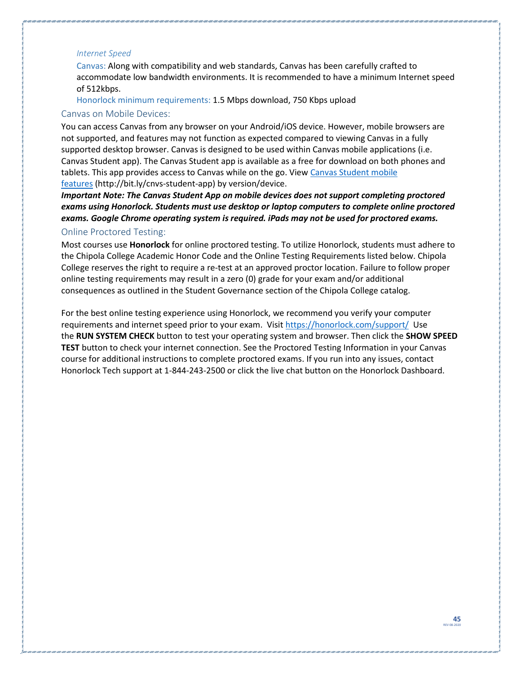#### *Internet Speed*

Canvas: Along with compatibility and web standards, Canvas has been carefully crafted to accommodate low bandwidth environments. It is recommended to have a minimum Internet speed of 512kbps.

Honorlock minimum requirements: 1.5 Mbps download, 750 Kbps upload

#### <span id="page-44-0"></span>Canvas on Mobile Devices:

You can access Canvas from any browser on your Android/iOS device. However, mobile browsers are not supported, and features may not function as expected compared to viewing Canvas in a fully supported desktop browser. Canvas is designed to be used within Canvas mobile applications (i.e. Canvas Student app). The Canvas Student app is available as a free for download on both phones and tablets. This app provides access to Canvas while on the go. View Canvas Student mobile [features](http://bit.ly/cnvs-student-app) (http://bit.ly/cnvs-student-app) by version/device.

*Important Note: The Canvas Student App on mobile devices does not support completing proctored exams using Honorlock. Students must use desktop or laptop computers to complete online proctored exams. Google Chrome operating system is required. iPads may not be used for proctored exams.*

#### <span id="page-44-1"></span>Online Proctored Testing:

Most courses use **Honorlock** for online proctored testing. To utilize Honorlock, students must adhere to the Chipola College Academic Honor Code and the Online Testing Requirements listed below. Chipola College reserves the right to require a re-test at an approved proctor location. Failure to follow proper online testing requirements may result in a zero (0) grade for your exam and/or additional consequences as outlined in the Student Governance section of the Chipola College catalog.

For the best online testing experience using Honorlock, we recommend you verify your computer requirements and internet speed prior to your exam. Visi[t https://honorlock.com/support/](https://honorlock.com/support/) Use the **RUN SYSTEM CHECK** button to test your operating system and browser. Then click the **SHOW SPEED TEST** button to check your internet connection. See the Proctored Testing Information in your Canvas course for additional instructions to complete proctored exams. If you run into any issues, contact Honorlock Tech support at 1-844-243-2500 or click the live chat button on the Honorlock Dashboard.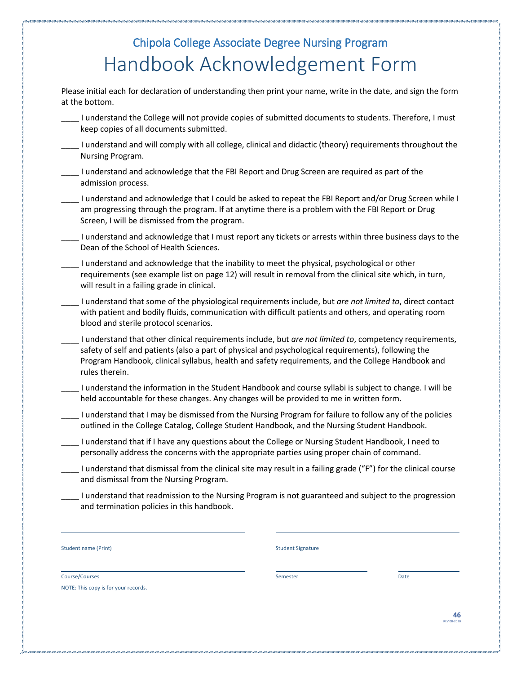### Chipola College Associate Degree Nursing Program Handbook Acknowledgement Form

<span id="page-45-0"></span>Please initial each for declaration of understanding then print your name, write in the date, and sign the form at the bottom.

- \_\_\_\_ I understand the College will not provide copies of submitted documents to students. Therefore, I must keep copies of all documents submitted.
- I understand and will comply with all college, clinical and didactic (theory) requirements throughout the Nursing Program.
- \_\_\_\_ I understand and acknowledge that the FBI Report and Drug Screen are required as part of the admission process.
- \_\_\_\_ I understand and acknowledge that I could be asked to repeat the FBI Report and/or Drug Screen while I am progressing through the program. If at anytime there is a problem with the FBI Report or Drug Screen, I will be dismissed from the program.
- I understand and acknowledge that I must report any tickets or arrests within three business days to the Dean of the School of Health Sciences.
- \_\_\_\_ I understand and acknowledge that the inability to meet the physical, psychological or other requirements (see example list on page 12) will result in removal from the clinical site which, in turn, will result in a failing grade in clinical.
- \_\_\_\_ I understand that some of the physiological requirements include, but *are not limited to*, direct contact with patient and bodily fluids, communication with difficult patients and others, and operating room blood and sterile protocol scenarios.
- \_\_\_\_ I understand that other clinical requirements include, but *are not limited to*, competency requirements, safety of self and patients (also a part of physical and psychological requirements), following the Program Handbook, clinical syllabus, health and safety requirements, and the College Handbook and rules therein.
- \_\_\_\_ I understand the information in the Student Handbook and course syllabi is subject to change. I will be held accountable for these changes. Any changes will be provided to me in written form.
- \_\_\_\_ I understand that I may be dismissed from the Nursing Program for failure to follow any of the policies outlined in the College Catalog, College Student Handbook, and the Nursing Student Handbook.
- \_\_\_\_ I understand that if I have any questions about the College or Nursing Student Handbook, I need to personally address the concerns with the appropriate parties using proper chain of command.
- \_\_\_\_ I understand that dismissal from the clinical site may result in a failing grade ("F") for the clinical course and dismissal from the Nursing Program.
- \_\_\_\_ I understand that readmission to the Nursing Program is not guaranteed and subject to the progression and termination policies in this handbook.

Student name (Print) Student Signature Communication Student Signature Student Signature

Courses Courses and the course of the course of the course of the course of the course of the course of the course of the course of the course of the course of the course of the course of the course of the course of the co NOTE: This copy is for your records.

**46** REV 08-2020